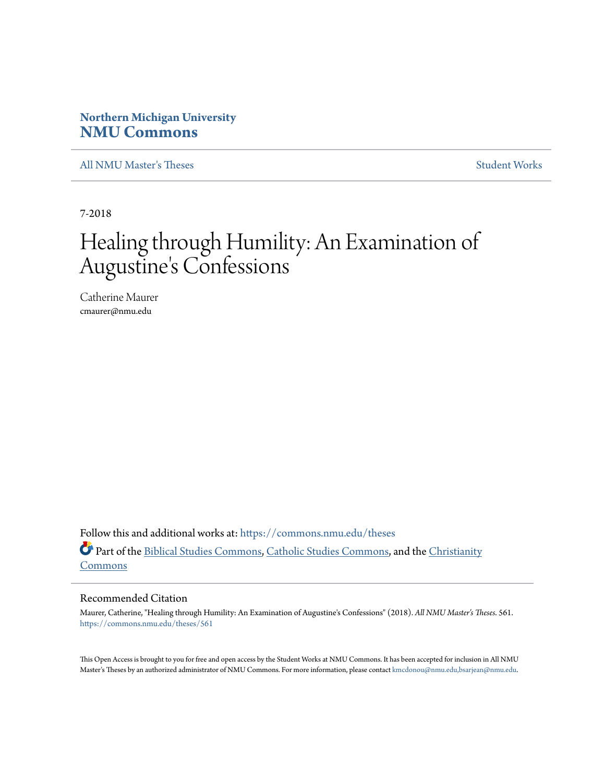# **Northern Michigan University [NMU Commons](https://commons.nmu.edu?utm_source=commons.nmu.edu%2Ftheses%2F561&utm_medium=PDF&utm_campaign=PDFCoverPages)**

[All NMU Master's Theses](https://commons.nmu.edu/theses?utm_source=commons.nmu.edu%2Ftheses%2F561&utm_medium=PDF&utm_campaign=PDFCoverPages) [Student Works](https://commons.nmu.edu/student_works?utm_source=commons.nmu.edu%2Ftheses%2F561&utm_medium=PDF&utm_campaign=PDFCoverPages)

7-2018

# Healing through Humility: An Examination of Augustine's Confessions

Catherine Maurer cmaurer@nmu.edu

Follow this and additional works at: [https://commons.nmu.edu/theses](https://commons.nmu.edu/theses?utm_source=commons.nmu.edu%2Ftheses%2F561&utm_medium=PDF&utm_campaign=PDFCoverPages) Part of the [Biblical Studies Commons,](http://network.bepress.com/hgg/discipline/539?utm_source=commons.nmu.edu%2Ftheses%2F561&utm_medium=PDF&utm_campaign=PDFCoverPages) [Catholic Studies Commons,](http://network.bepress.com/hgg/discipline/1294?utm_source=commons.nmu.edu%2Ftheses%2F561&utm_medium=PDF&utm_campaign=PDFCoverPages) and the [Christianity](http://network.bepress.com/hgg/discipline/1181?utm_source=commons.nmu.edu%2Ftheses%2F561&utm_medium=PDF&utm_campaign=PDFCoverPages) [Commons](http://network.bepress.com/hgg/discipline/1181?utm_source=commons.nmu.edu%2Ftheses%2F561&utm_medium=PDF&utm_campaign=PDFCoverPages)

#### Recommended Citation

Maurer, Catherine, "Healing through Humility: An Examination of Augustine's Confessions" (2018). *All NMU Master's Theses*. 561. [https://commons.nmu.edu/theses/561](https://commons.nmu.edu/theses/561?utm_source=commons.nmu.edu%2Ftheses%2F561&utm_medium=PDF&utm_campaign=PDFCoverPages)

This Open Access is brought to you for free and open access by the Student Works at NMU Commons. It has been accepted for inclusion in All NMU Master's Theses by an authorized administrator of NMU Commons. For more information, please contact [kmcdonou@nmu.edu,bsarjean@nmu.edu.](mailto:kmcdonou@nmu.edu,bsarjean@nmu.edu)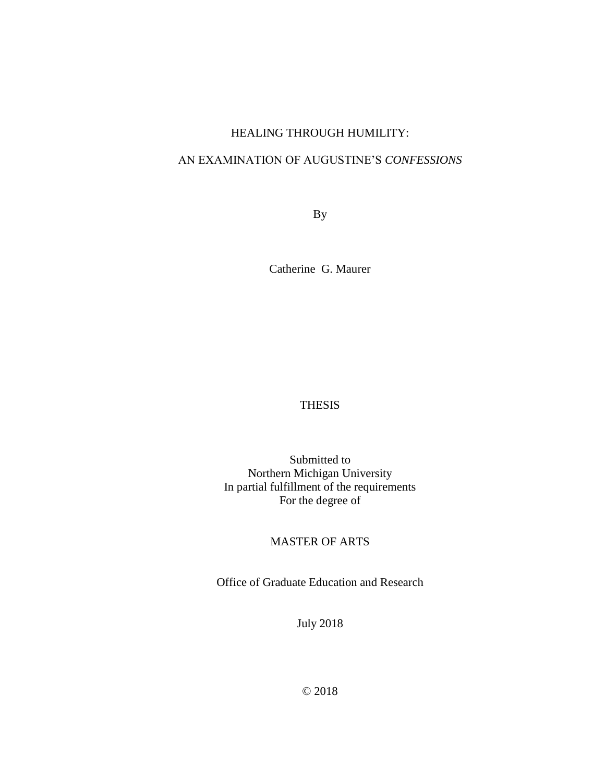# HEALING THROUGH HUMILITY:

# AN EXAMINATION OF AUGUSTINE'S *CONFESSIONS*

By

Catherine G. Maurer

# THESIS

Submitted to Northern Michigan University In partial fulfillment of the requirements For the degree of

# MASTER OF ARTS

Office of Graduate Education and Research

July 2018

© 2018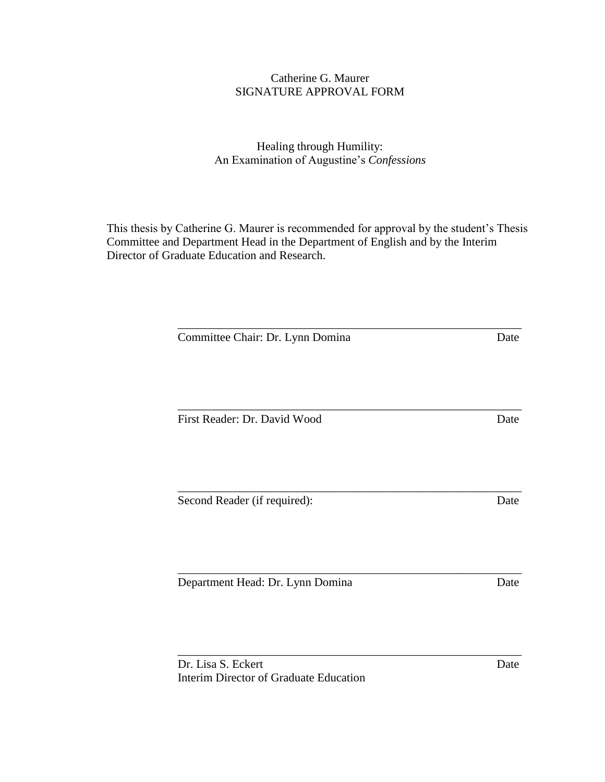# Catherine G. Maurer SIGNATURE APPROVAL FORM

# Healing through Humility: An Examination of Augustine's *Confessions*

This thesis by Catherine G. Maurer is recommended for approval by the student's Thesis Committee and Department Head in the Department of English and by the Interim Director of Graduate Education and Research.

\_\_\_\_\_\_\_\_\_\_\_\_\_\_\_\_\_\_\_\_\_\_\_\_\_\_\_\_\_\_\_\_\_\_\_\_\_\_\_\_\_\_\_\_\_\_\_\_\_\_\_\_\_\_\_\_\_\_

\_\_\_\_\_\_\_\_\_\_\_\_\_\_\_\_\_\_\_\_\_\_\_\_\_\_\_\_\_\_\_\_\_\_\_\_\_\_\_\_\_\_\_\_\_\_\_\_\_\_\_\_\_\_\_\_\_\_

Committee Chair: Dr. Lynn Domina Date

\_\_\_\_\_\_\_\_\_\_\_\_\_\_\_\_\_\_\_\_\_\_\_\_\_\_\_\_\_\_\_\_\_\_\_\_\_\_\_\_\_\_\_\_\_\_\_\_\_\_\_\_\_\_\_\_\_\_ First Reader: Dr. David Wood Date

Second Reader (if required): Date

Department Head: Dr. Lynn Domina Date

Dr. Lisa S. Eckert Date Interim Director of Graduate Education

\_\_\_\_\_\_\_\_\_\_\_\_\_\_\_\_\_\_\_\_\_\_\_\_\_\_\_\_\_\_\_\_\_\_\_\_\_\_\_\_\_\_\_\_\_\_\_\_\_\_\_\_\_\_\_\_\_\_

\_\_\_\_\_\_\_\_\_\_\_\_\_\_\_\_\_\_\_\_\_\_\_\_\_\_\_\_\_\_\_\_\_\_\_\_\_\_\_\_\_\_\_\_\_\_\_\_\_\_\_\_\_\_\_\_\_\_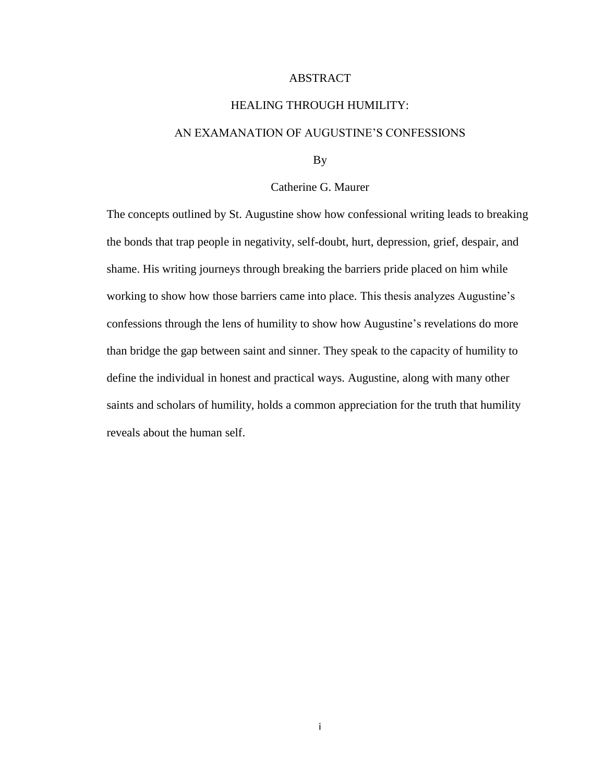## ABSTRACT

## HEALING THROUGH HUMILITY:

## <span id="page-3-0"></span>AN EXAMANATION OF AUGUSTINE'S CONFESSIONS

By

## Catherine G. Maurer

The concepts outlined by St. Augustine show how confessional writing leads to breaking the bonds that trap people in negativity, self-doubt, hurt, depression, grief, despair, and shame. His writing journeys through breaking the barriers pride placed on him while working to show how those barriers came into place. This thesis analyzes Augustine's confessions through the lens of humility to show how Augustine's revelations do more than bridge the gap between saint and sinner. They speak to the capacity of humility to define the individual in honest and practical ways. Augustine, along with many other saints and scholars of humility, holds a common appreciation for the truth that humility reveals about the human self.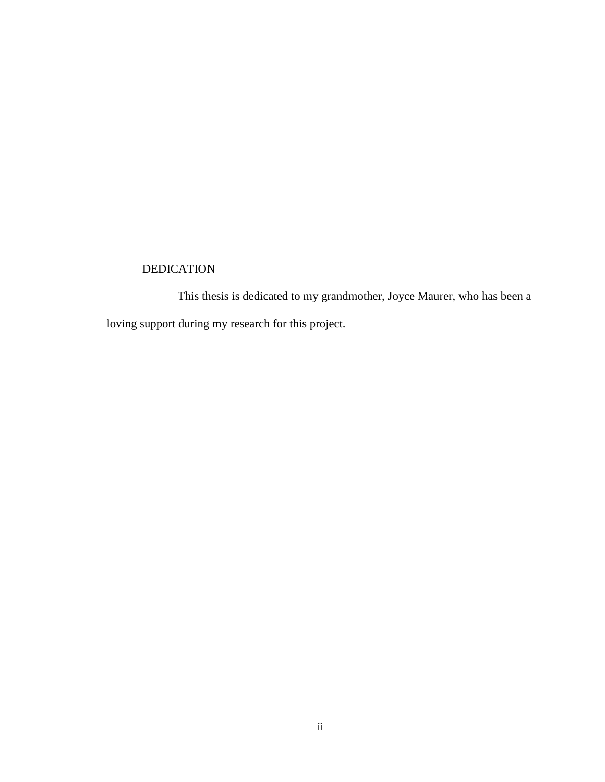# DEDICATION

This thesis is dedicated to my grandmother, Joyce Maurer, who has been a loving support during my research for this project.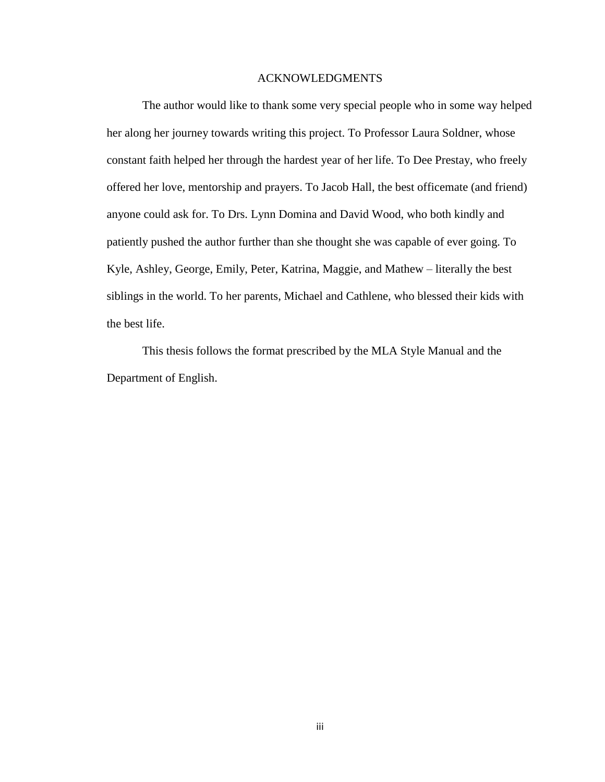### ACKNOWLEDGMENTS

<span id="page-5-0"></span>The author would like to thank some very special people who in some way helped her along her journey towards writing this project. To Professor Laura Soldner, whose constant faith helped her through the hardest year of her life. To Dee Prestay, who freely offered her love, mentorship and prayers. To Jacob Hall, the best officemate (and friend) anyone could ask for. To Drs. Lynn Domina and David Wood, who both kindly and patiently pushed the author further than she thought she was capable of ever going. To Kyle, Ashley, George, Emily, Peter, Katrina, Maggie, and Mathew – literally the best siblings in the world. To her parents, Michael and Cathlene, who blessed their kids with the best life.

This thesis follows the format prescribed by the MLA Style Manual and the Department of English.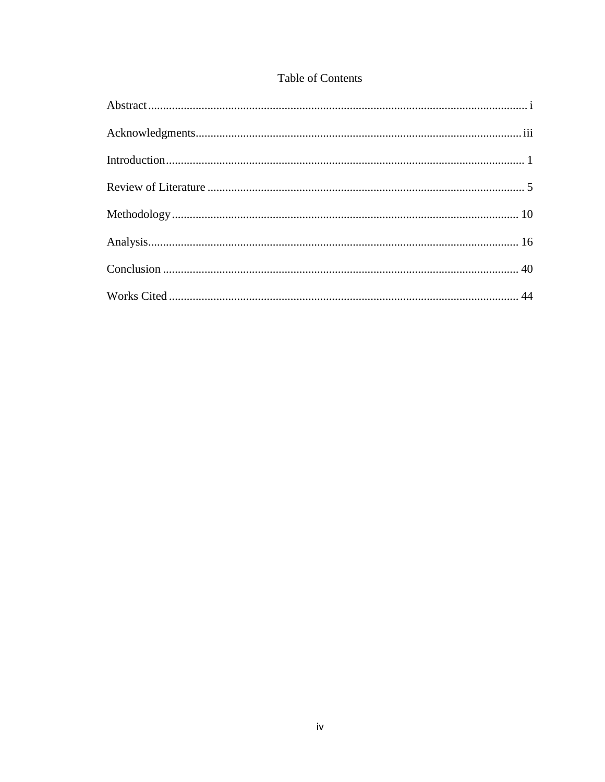# Table of Contents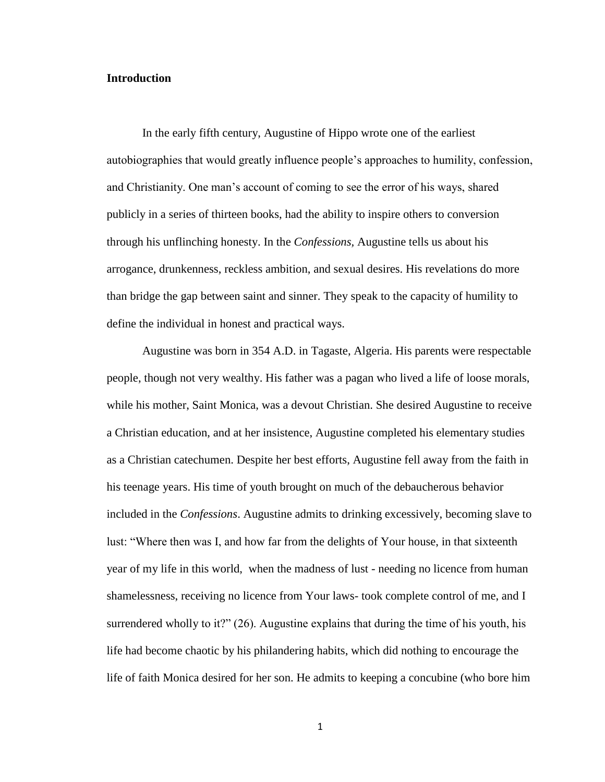## <span id="page-7-0"></span>**Introduction**

In the early fifth century, Augustine of Hippo wrote one of the earliest autobiographies that would greatly influence people's approaches to humility, confession, and Christianity. One man's account of coming to see the error of his ways, shared publicly in a series of thirteen books, had the ability to inspire others to conversion through his unflinching honesty. In the *Confessions,* Augustine tells us about his arrogance, drunkenness, reckless ambition, and sexual desires. His revelations do more than bridge the gap between saint and sinner. They speak to the capacity of humility to define the individual in honest and practical ways.

Augustine was born in 354 A.D. in Tagaste, Algeria. His parents were respectable people, though not very wealthy. His father was a pagan who lived a life of loose morals, while his mother, Saint Monica, was a devout Christian. She desired Augustine to receive a Christian education, and at her insistence, Augustine completed his elementary studies as a Christian catechumen. Despite her best efforts, Augustine fell away from the faith in his teenage years. His time of youth brought on much of the debaucherous behavior included in the *Confessions*. Augustine admits to drinking excessively, becoming slave to lust: "Where then was I, and how far from the delights of Your house, in that sixteenth year of my life in this world, when the madness of lust - needing no licence from human shamelessness, receiving no licence from Your laws- took complete control of me, and I surrendered wholly to it?" (26). Augustine explains that during the time of his youth, his life had become chaotic by his philandering habits, which did nothing to encourage the life of faith Monica desired for her son. He admits to keeping a concubine (who bore him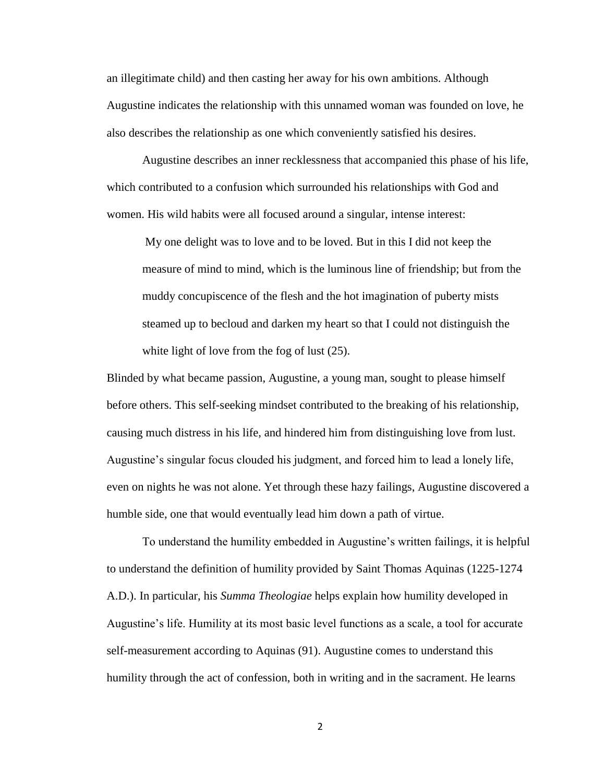an illegitimate child) and then casting her away for his own ambitions. Although Augustine indicates the relationship with this unnamed woman was founded on love, he also describes the relationship as one which conveniently satisfied his desires.

Augustine describes an inner recklessness that accompanied this phase of his life, which contributed to a confusion which surrounded his relationships with God and women. His wild habits were all focused around a singular, intense interest:

My one delight was to love and to be loved. But in this I did not keep the measure of mind to mind, which is the luminous line of friendship; but from the muddy concupiscence of the flesh and the hot imagination of puberty mists steamed up to becloud and darken my heart so that I could not distinguish the white light of love from the fog of lust  $(25)$ .

Blinded by what became passion, Augustine, a young man, sought to please himself before others. This self-seeking mindset contributed to the breaking of his relationship, causing much distress in his life, and hindered him from distinguishing love from lust. Augustine's singular focus clouded his judgment, and forced him to lead a lonely life, even on nights he was not alone. Yet through these hazy failings, Augustine discovered a humble side, one that would eventually lead him down a path of virtue.

To understand the humility embedded in Augustine's written failings, it is helpful to understand the definition of humility provided by Saint Thomas Aquinas (1225-1274 A.D.). In particular, his *Summa Theologiae* helps explain how humility developed in Augustine's life. Humility at its most basic level functions as a scale, a tool for accurate self-measurement according to Aquinas (91). Augustine comes to understand this humility through the act of confession, both in writing and in the sacrament. He learns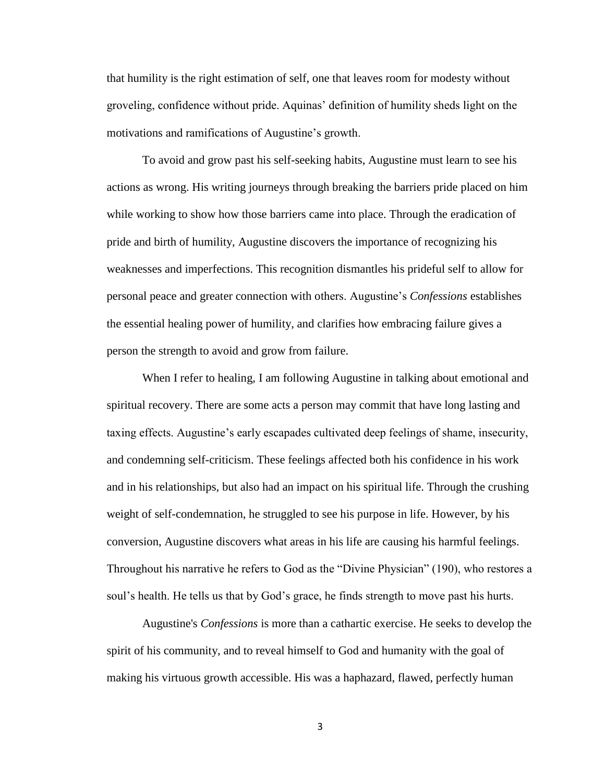that humility is the right estimation of self, one that leaves room for modesty without groveling, confidence without pride. Aquinas' definition of humility sheds light on the motivations and ramifications of Augustine's growth.

To avoid and grow past his self-seeking habits, Augustine must learn to see his actions as wrong. His writing journeys through breaking the barriers pride placed on him while working to show how those barriers came into place. Through the eradication of pride and birth of humility, Augustine discovers the importance of recognizing his weaknesses and imperfections. This recognition dismantles his prideful self to allow for personal peace and greater connection with others. Augustine's *Confessions* establishes the essential healing power of humility, and clarifies how embracing failure gives a person the strength to avoid and grow from failure.

When I refer to healing, I am following Augustine in talking about emotional and spiritual recovery. There are some acts a person may commit that have long lasting and taxing effects. Augustine's early escapades cultivated deep feelings of shame, insecurity, and condemning self-criticism. These feelings affected both his confidence in his work and in his relationships, but also had an impact on his spiritual life. Through the crushing weight of self-condemnation, he struggled to see his purpose in life. However, by his conversion, Augustine discovers what areas in his life are causing his harmful feelings. Throughout his narrative he refers to God as the "Divine Physician" (190), who restores a soul's health. He tells us that by God's grace, he finds strength to move past his hurts.

Augustine's *Confessions* is more than a cathartic exercise. He seeks to develop the spirit of his community, and to reveal himself to God and humanity with the goal of making his virtuous growth accessible. His was a haphazard, flawed, perfectly human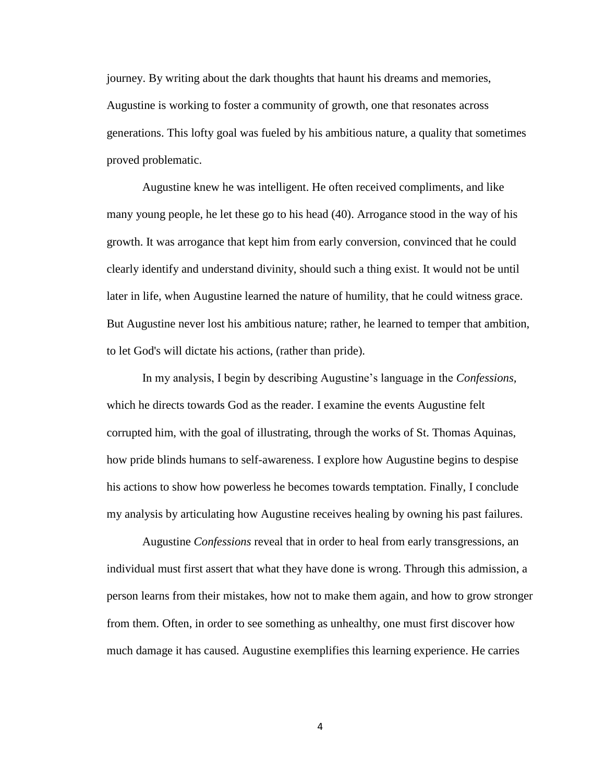journey. By writing about the dark thoughts that haunt his dreams and memories, Augustine is working to foster a community of growth, one that resonates across generations. This lofty goal was fueled by his ambitious nature, a quality that sometimes proved problematic.

Augustine knew he was intelligent. He often received compliments, and like many young people, he let these go to his head (40). Arrogance stood in the way of his growth. It was arrogance that kept him from early conversion, convinced that he could clearly identify and understand divinity, should such a thing exist. It would not be until later in life, when Augustine learned the nature of humility, that he could witness grace. But Augustine never lost his ambitious nature; rather, he learned to temper that ambition, to let God's will dictate his actions, (rather than pride).

In my analysis, I begin by describing Augustine's language in the *Confessions,*  which he directs towards God as the reader. I examine the events Augustine felt corrupted him, with the goal of illustrating, through the works of St. Thomas Aquinas, how pride blinds humans to self-awareness. I explore how Augustine begins to despise his actions to show how powerless he becomes towards temptation. Finally, I conclude my analysis by articulating how Augustine receives healing by owning his past failures.

Augustine *Confessions* reveal that in order to heal from early transgressions, an individual must first assert that what they have done is wrong. Through this admission, a person learns from their mistakes, how not to make them again, and how to grow stronger from them. Often, in order to see something as unhealthy, one must first discover how much damage it has caused. Augustine exemplifies this learning experience. He carries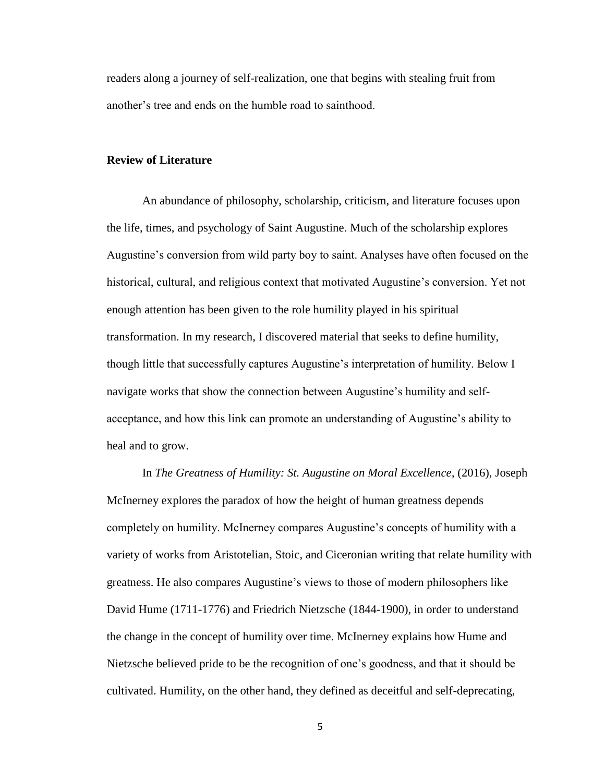readers along a journey of self-realization, one that begins with stealing fruit from another's tree and ends on the humble road to sainthood.

### <span id="page-11-0"></span>**Review of Literature**

An abundance of philosophy, scholarship, criticism, and literature focuses upon the life, times, and psychology of Saint Augustine. Much of the scholarship explores Augustine's conversion from wild party boy to saint. Analyses have often focused on the historical, cultural, and religious context that motivated Augustine's conversion. Yet not enough attention has been given to the role humility played in his spiritual transformation. In my research, I discovered material that seeks to define humility, though little that successfully captures Augustine's interpretation of humility. Below I navigate works that show the connection between Augustine's humility and selfacceptance, and how this link can promote an understanding of Augustine's ability to heal and to grow.

In *The Greatness of Humility: St. Augustine on Moral Excellence*, (2016), Joseph McInerney explores the paradox of how the height of human greatness depends completely on humility. McInerney compares Augustine's concepts of humility with a variety of works from Aristotelian, Stoic, and Ciceronian writing that relate humility with greatness. He also compares Augustine's views to those of modern philosophers like David Hume (1711-1776) and Friedrich Nietzsche (1844-1900), in order to understand the change in the concept of humility over time. McInerney explains how Hume and Nietzsche believed pride to be the recognition of one's goodness, and that it should be cultivated. Humility, on the other hand, they defined as deceitful and self-deprecating,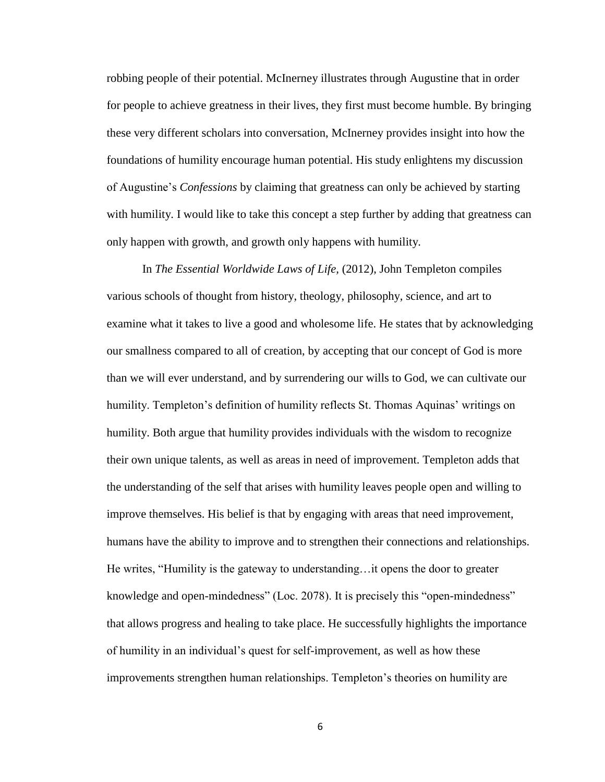robbing people of their potential. McInerney illustrates through Augustine that in order for people to achieve greatness in their lives, they first must become humble. By bringing these very different scholars into conversation, McInerney provides insight into how the foundations of humility encourage human potential. His study enlightens my discussion of Augustine's *Confessions* by claiming that greatness can only be achieved by starting with humility. I would like to take this concept a step further by adding that greatness can only happen with growth, and growth only happens with humility.

In *The Essential Worldwide Laws of Life,* (2012), John Templeton compiles various schools of thought from history, theology, philosophy, science, and art to examine what it takes to live a good and wholesome life. He states that by acknowledging our smallness compared to all of creation, by accepting that our concept of God is more than we will ever understand, and by surrendering our wills to God, we can cultivate our humility. Templeton's definition of humility reflects St. Thomas Aquinas' writings on humility. Both argue that humility provides individuals with the wisdom to recognize their own unique talents, as well as areas in need of improvement. Templeton adds that the understanding of the self that arises with humility leaves people open and willing to improve themselves. His belief is that by engaging with areas that need improvement, humans have the ability to improve and to strengthen their connections and relationships. He writes, "Humility is the gateway to understanding…it opens the door to greater knowledge and open-mindedness" (Loc. 2078). It is precisely this "open-mindedness" that allows progress and healing to take place. He successfully highlights the importance of humility in an individual's quest for self-improvement, as well as how these improvements strengthen human relationships. Templeton's theories on humility are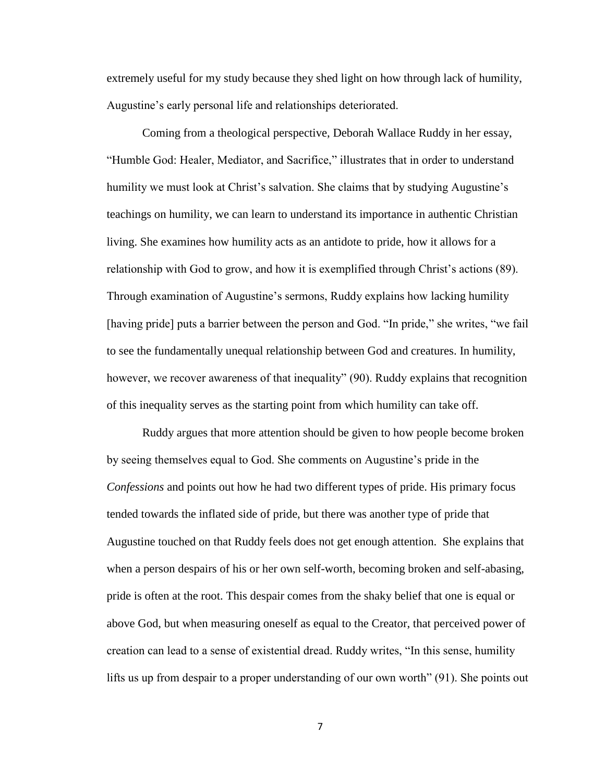extremely useful for my study because they shed light on how through lack of humility, Augustine's early personal life and relationships deteriorated.

Coming from a theological perspective, Deborah Wallace Ruddy in her essay, "Humble God: Healer, Mediator, and Sacrifice," illustrates that in order to understand humility we must look at Christ's salvation. She claims that by studying Augustine's teachings on humility, we can learn to understand its importance in authentic Christian living. She examines how humility acts as an antidote to pride, how it allows for a relationship with God to grow, and how it is exemplified through Christ's actions (89). Through examination of Augustine's sermons, Ruddy explains how lacking humility [having pride] puts a barrier between the person and God. "In pride," she writes, "we fail to see the fundamentally unequal relationship between God and creatures. In humility, however, we recover awareness of that inequality" (90). Ruddy explains that recognition of this inequality serves as the starting point from which humility can take off.

Ruddy argues that more attention should be given to how people become broken by seeing themselves equal to God. She comments on Augustine's pride in the *Confessions* and points out how he had two different types of pride. His primary focus tended towards the inflated side of pride, but there was another type of pride that Augustine touched on that Ruddy feels does not get enough attention. She explains that when a person despairs of his or her own self-worth, becoming broken and self-abasing, pride is often at the root. This despair comes from the shaky belief that one is equal or above God, but when measuring oneself as equal to the Creator, that perceived power of creation can lead to a sense of existential dread. Ruddy writes, "In this sense, humility lifts us up from despair to a proper understanding of our own worth" (91). She points out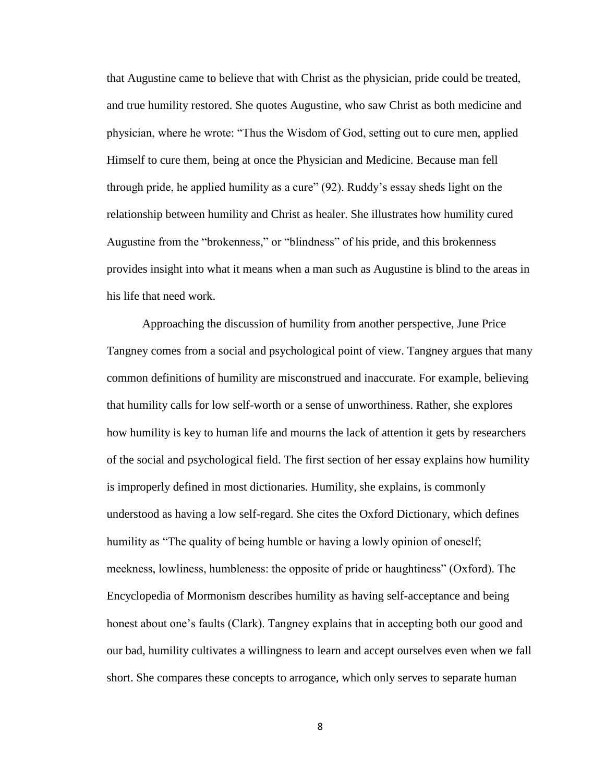that Augustine came to believe that with Christ as the physician, pride could be treated, and true humility restored. She quotes Augustine, who saw Christ as both medicine and physician, where he wrote: "Thus the Wisdom of God, setting out to cure men, applied Himself to cure them, being at once the Physician and Medicine. Because man fell through pride, he applied humility as a cure" (92). Ruddy's essay sheds light on the relationship between humility and Christ as healer. She illustrates how humility cured Augustine from the "brokenness," or "blindness" of his pride, and this brokenness provides insight into what it means when a man such as Augustine is blind to the areas in his life that need work.

Approaching the discussion of humility from another perspective, June Price Tangney comes from a social and psychological point of view. Tangney argues that many common definitions of humility are misconstrued and inaccurate. For example, believing that humility calls for low self-worth or a sense of unworthiness. Rather, she explores how humility is key to human life and mourns the lack of attention it gets by researchers of the social and psychological field. The first section of her essay explains how humility is improperly defined in most dictionaries. Humility, she explains, is commonly understood as having a low self-regard. She cites the Oxford Dictionary, which defines humility as "The quality of being humble or having a lowly opinion of oneself; meekness, lowliness, humbleness: the opposite of pride or haughtiness" (Oxford). The Encyclopedia of Mormonism describes humility as having self-acceptance and being honest about one's faults (Clark). Tangney explains that in accepting both our good and our bad, humility cultivates a willingness to learn and accept ourselves even when we fall short. She compares these concepts to arrogance, which only serves to separate human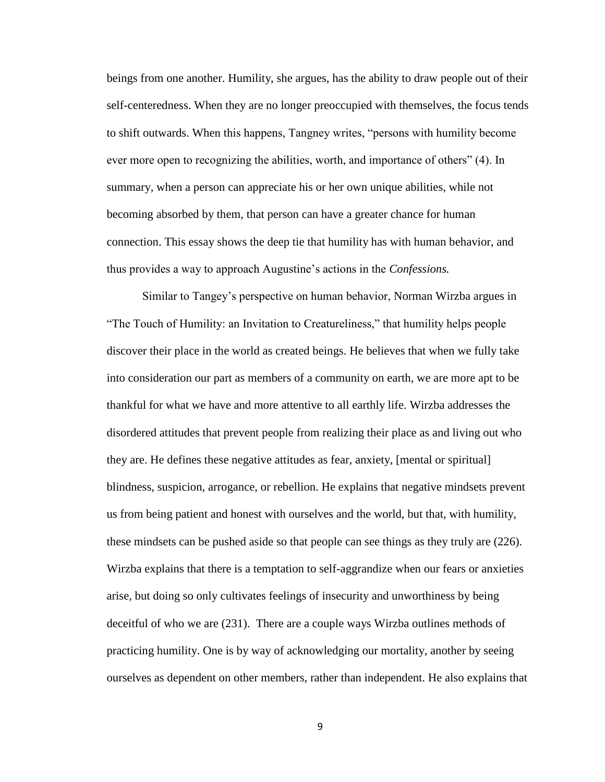beings from one another. Humility, she argues, has the ability to draw people out of their self-centeredness. When they are no longer preoccupied with themselves, the focus tends to shift outwards. When this happens, Tangney writes, "persons with humility become ever more open to recognizing the abilities, worth, and importance of others" (4). In summary, when a person can appreciate his or her own unique abilities, while not becoming absorbed by them, that person can have a greater chance for human connection. This essay shows the deep tie that humility has with human behavior, and thus provides a way to approach Augustine's actions in the *Confessions.*

Similar to Tangey's perspective on human behavior, Norman Wirzba argues in "The Touch of Humility: an Invitation to Creatureliness," that humility helps people discover their place in the world as created beings. He believes that when we fully take into consideration our part as members of a community on earth, we are more apt to be thankful for what we have and more attentive to all earthly life. Wirzba addresses the disordered attitudes that prevent people from realizing their place as and living out who they are. He defines these negative attitudes as fear, anxiety, [mental or spiritual] blindness, suspicion, arrogance, or rebellion. He explains that negative mindsets prevent us from being patient and honest with ourselves and the world, but that, with humility, these mindsets can be pushed aside so that people can see things as they truly are (226). Wirzba explains that there is a temptation to self-aggrandize when our fears or anxieties arise, but doing so only cultivates feelings of insecurity and unworthiness by being deceitful of who we are (231). There are a couple ways Wirzba outlines methods of practicing humility. One is by way of acknowledging our mortality, another by seeing ourselves as dependent on other members, rather than independent. He also explains that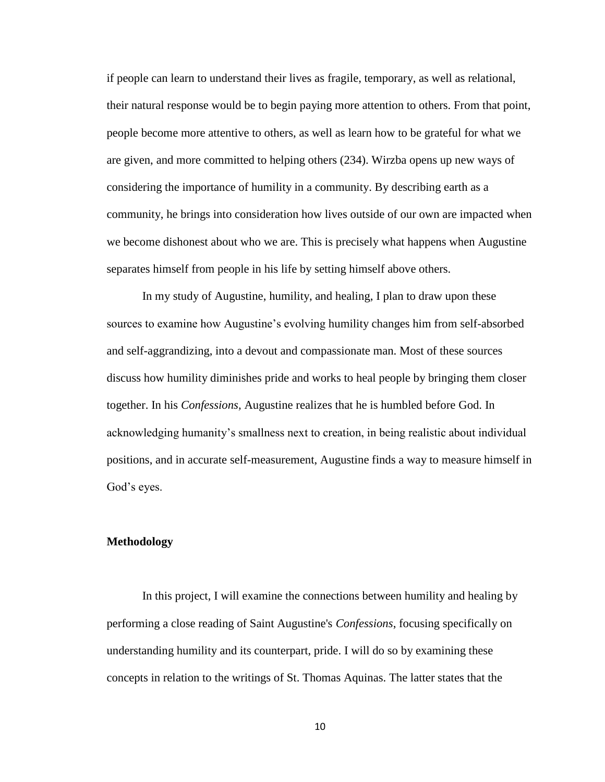if people can learn to understand their lives as fragile, temporary, as well as relational, their natural response would be to begin paying more attention to others. From that point, people become more attentive to others, as well as learn how to be grateful for what we are given, and more committed to helping others (234). Wirzba opens up new ways of considering the importance of humility in a community. By describing earth as a community, he brings into consideration how lives outside of our own are impacted when we become dishonest about who we are. This is precisely what happens when Augustine separates himself from people in his life by setting himself above others.

In my study of Augustine, humility, and healing, I plan to draw upon these sources to examine how Augustine's evolving humility changes him from self-absorbed and self-aggrandizing, into a devout and compassionate man. Most of these sources discuss how humility diminishes pride and works to heal people by bringing them closer together. In his *Confessions,* Augustine realizes that he is humbled before God. In acknowledging humanity's smallness next to creation, in being realistic about individual positions, and in accurate self-measurement, Augustine finds a way to measure himself in God's eyes.

#### <span id="page-16-0"></span>**Methodology**

In this project, I will examine the connections between humility and healing by performing a close reading of Saint Augustine's *Confessions*, focusing specifically on understanding humility and its counterpart, pride. I will do so by examining these concepts in relation to the writings of St. Thomas Aquinas. The latter states that the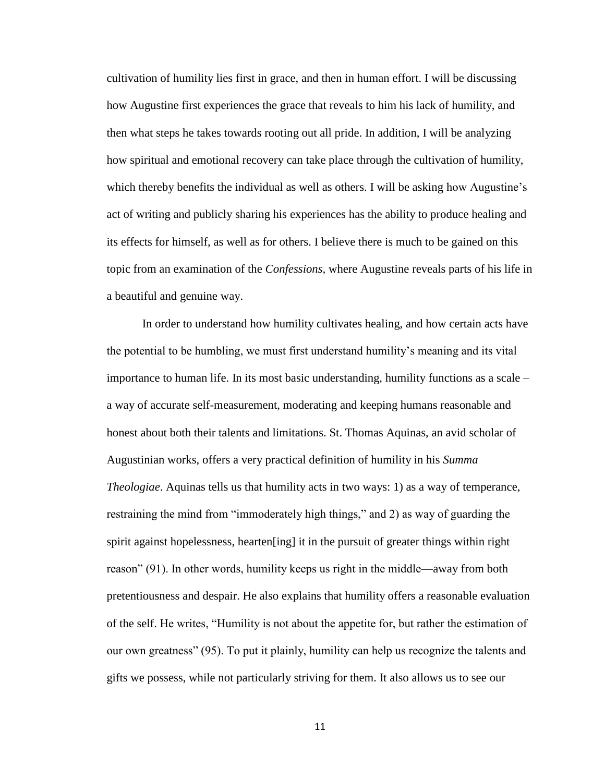cultivation of humility lies first in grace, and then in human effort. I will be discussing how Augustine first experiences the grace that reveals to him his lack of humility, and then what steps he takes towards rooting out all pride. In addition, I will be analyzing how spiritual and emotional recovery can take place through the cultivation of humility, which thereby benefits the individual as well as others. I will be asking how Augustine's act of writing and publicly sharing his experiences has the ability to produce healing and its effects for himself, as well as for others. I believe there is much to be gained on this topic from an examination of the *Confessions,* where Augustine reveals parts of his life in a beautiful and genuine way.

In order to understand how humility cultivates healing, and how certain acts have the potential to be humbling, we must first understand humility's meaning and its vital importance to human life. In its most basic understanding, humility functions as a scale – a way of accurate self-measurement, moderating and keeping humans reasonable and honest about both their talents and limitations. St. Thomas Aquinas, an avid scholar of Augustinian works, offers a very practical definition of humility in his *Summa Theologiae*. Aquinas tells us that humility acts in two ways: 1) as a way of temperance, restraining the mind from "immoderately high things," and 2) as way of guarding the spirit against hopelessness, hearten[ing] it in the pursuit of greater things within right reason" (91). In other words, humility keeps us right in the middle—away from both pretentiousness and despair. He also explains that humility offers a reasonable evaluation of the self. He writes, "Humility is not about the appetite for, but rather the estimation of our own greatness" (95). To put it plainly, humility can help us recognize the talents and gifts we possess, while not particularly striving for them. It also allows us to see our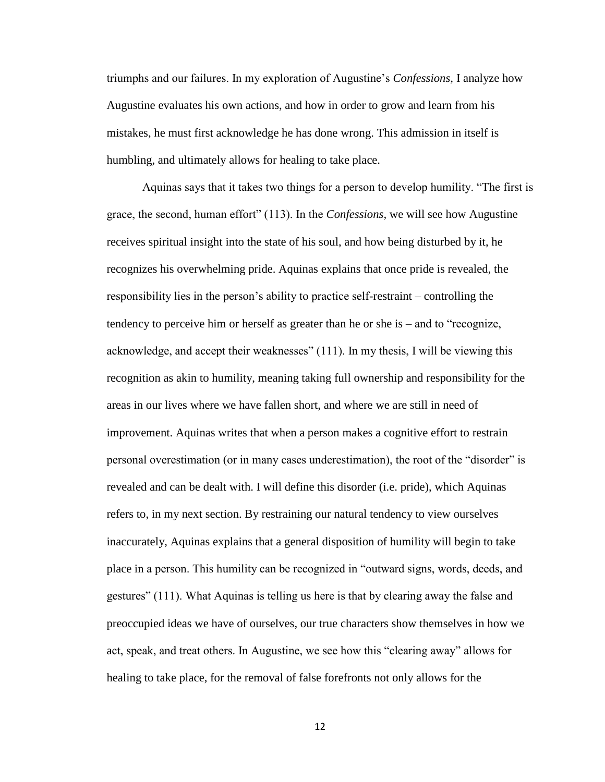triumphs and our failures. In my exploration of Augustine's *Confessions,* I analyze how Augustine evaluates his own actions, and how in order to grow and learn from his mistakes, he must first acknowledge he has done wrong. This admission in itself is humbling, and ultimately allows for healing to take place.

Aquinas says that it takes two things for a person to develop humility. "The first is grace, the second, human effort" (113). In the *Confessions,* we will see how Augustine receives spiritual insight into the state of his soul, and how being disturbed by it, he recognizes his overwhelming pride. Aquinas explains that once pride is revealed, the responsibility lies in the person's ability to practice self-restraint – controlling the tendency to perceive him or herself as greater than he or she is – and to "recognize, acknowledge, and accept their weaknesses" (111). In my thesis, I will be viewing this recognition as akin to humility, meaning taking full ownership and responsibility for the areas in our lives where we have fallen short, and where we are still in need of improvement. Aquinas writes that when a person makes a cognitive effort to restrain personal overestimation (or in many cases underestimation), the root of the "disorder" is revealed and can be dealt with. I will define this disorder (i.e. pride), which Aquinas refers to, in my next section. By restraining our natural tendency to view ourselves inaccurately, Aquinas explains that a general disposition of humility will begin to take place in a person. This humility can be recognized in "outward signs, words, deeds, and gestures" (111). What Aquinas is telling us here is that by clearing away the false and preoccupied ideas we have of ourselves, our true characters show themselves in how we act, speak, and treat others. In Augustine, we see how this "clearing away" allows for healing to take place, for the removal of false forefronts not only allows for the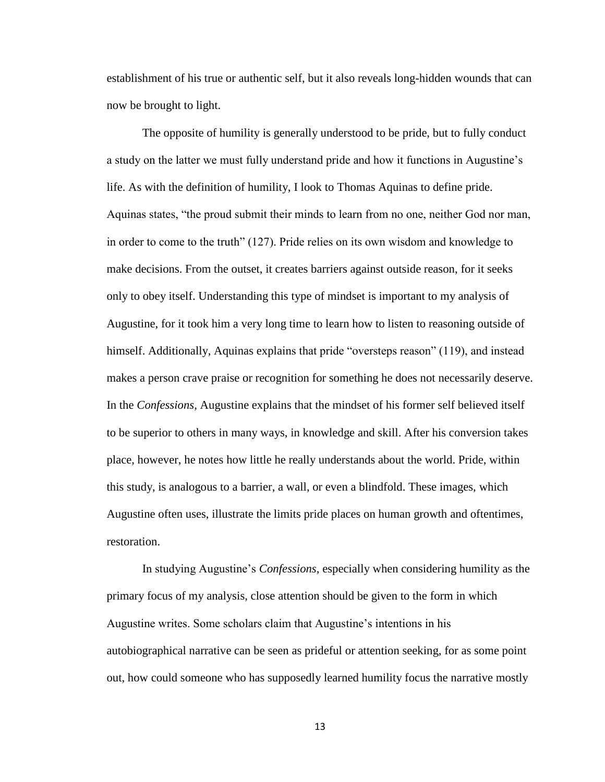establishment of his true or authentic self, but it also reveals long-hidden wounds that can now be brought to light.

The opposite of humility is generally understood to be pride, but to fully conduct a study on the latter we must fully understand pride and how it functions in Augustine's life. As with the definition of humility, I look to Thomas Aquinas to define pride. Aquinas states, "the proud submit their minds to learn from no one, neither God nor man, in order to come to the truth" (127). Pride relies on its own wisdom and knowledge to make decisions. From the outset, it creates barriers against outside reason, for it seeks only to obey itself. Understanding this type of mindset is important to my analysis of Augustine, for it took him a very long time to learn how to listen to reasoning outside of himself. Additionally, Aquinas explains that pride "oversteps reason" (119), and instead makes a person crave praise or recognition for something he does not necessarily deserve. In the *Confessions,* Augustine explains that the mindset of his former self believed itself to be superior to others in many ways, in knowledge and skill. After his conversion takes place, however, he notes how little he really understands about the world. Pride, within this study, is analogous to a barrier, a wall, or even a blindfold. These images, which Augustine often uses, illustrate the limits pride places on human growth and oftentimes, restoration.

In studying Augustine's *Confessions,* especially when considering humility as the primary focus of my analysis, close attention should be given to the form in which Augustine writes. Some scholars claim that Augustine's intentions in his autobiographical narrative can be seen as prideful or attention seeking, for as some point out, how could someone who has supposedly learned humility focus the narrative mostly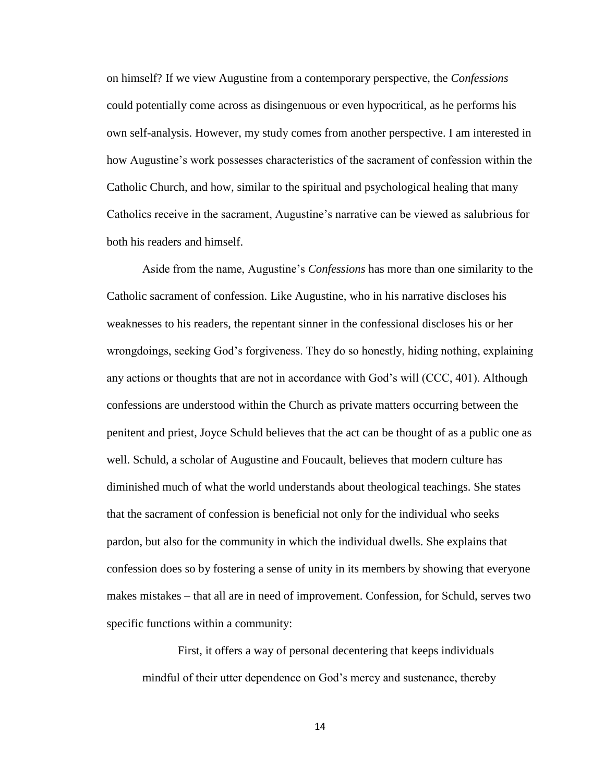on himself? If we view Augustine from a contemporary perspective, the *Confessions* could potentially come across as disingenuous or even hypocritical, as he performs his own self-analysis. However, my study comes from another perspective. I am interested in how Augustine's work possesses characteristics of the sacrament of confession within the Catholic Church, and how, similar to the spiritual and psychological healing that many Catholics receive in the sacrament, Augustine's narrative can be viewed as salubrious for both his readers and himself.

Aside from the name, Augustine's *Confessions* has more than one similarity to the Catholic sacrament of confession. Like Augustine, who in his narrative discloses his weaknesses to his readers, the repentant sinner in the confessional discloses his or her wrongdoings, seeking God's forgiveness. They do so honestly, hiding nothing, explaining any actions or thoughts that are not in accordance with God's will (CCC, 401). Although confessions are understood within the Church as private matters occurring between the penitent and priest, Joyce Schuld believes that the act can be thought of as a public one as well. Schuld, a scholar of Augustine and Foucault, believes that modern culture has diminished much of what the world understands about theological teachings. She states that the sacrament of confession is beneficial not only for the individual who seeks pardon, but also for the community in which the individual dwells. She explains that confession does so by fostering a sense of unity in its members by showing that everyone makes mistakes – that all are in need of improvement. Confession, for Schuld, serves two specific functions within a community:

First, it offers a way of personal decentering that keeps individuals mindful of their utter dependence on God's mercy and sustenance, thereby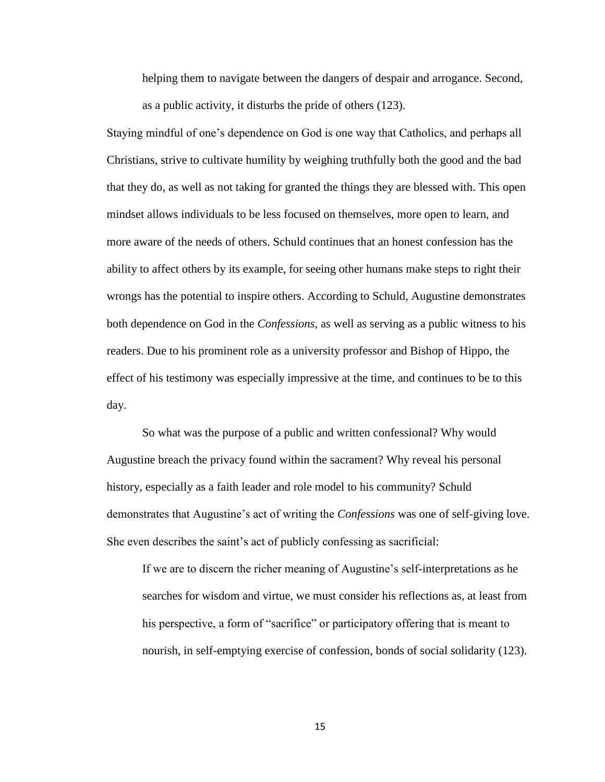helping them to navigate between the dangers of despair and arrogance. Second, as a public activity, it disturbs the pride of others (123).

Staying mindful of one's dependence on God is one way that Catholics, and perhaps all Christians, strive to cultivate humility by weighing truthfully both the good and the bad that they do, as well as not taking for granted the things they are blessed with. This open mindset allows individuals to be less focused on themselves, more open to learn, and more aware of the needs of others. Schuld continues that an honest confession has the ability to affect others by its example, for seeing other humans make steps to right their wrongs has the potential to inspire others. According to Schuld, Augustine demonstrates both dependence on God in the *Confessions,* as well as serving as a public witness to his readers. Due to his prominent role as a university professor and Bishop of Hippo, the effect of his testimony was especially impressive at the time, and continues to be to this day.

So what was the purpose of a public and written confessional? Why would Augustine breach the privacy found within the sacrament? Why reveal his personal history, especially as a faith leader and role model to his community? Schuld demonstrates that Augustine's act of writing the *Confessions* was one of self-giving love. She even describes the saint's act of publicly confessing as sacrificial:

If we are to discern the richer meaning of Augustine's self-interpretations as he searches for wisdom and virtue, we must consider his reflections as, at least from his perspective, a form of "sacrifice" or participatory offering that is meant to nourish, in self-emptying exercise of confession, bonds of social solidarity (123).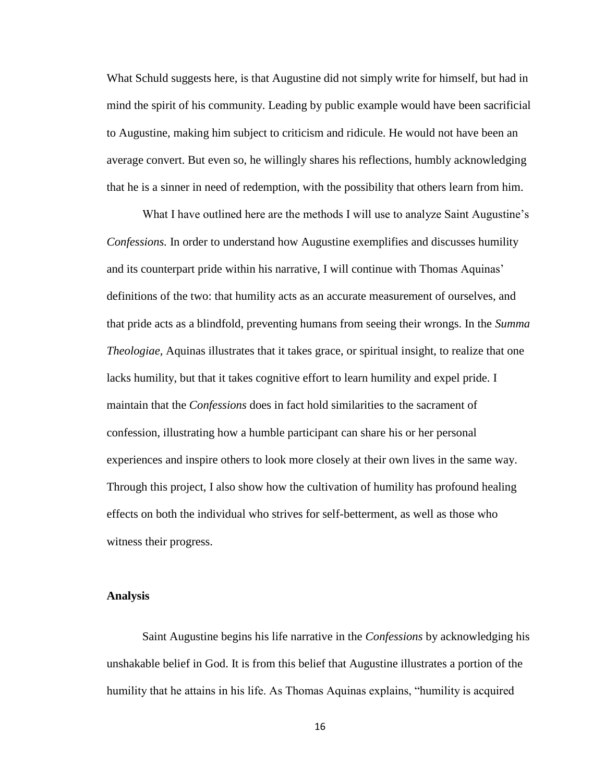What Schuld suggests here, is that Augustine did not simply write for himself, but had in mind the spirit of his community. Leading by public example would have been sacrificial to Augustine, making him subject to criticism and ridicule. He would not have been an average convert. But even so, he willingly shares his reflections, humbly acknowledging that he is a sinner in need of redemption, with the possibility that others learn from him.

What I have outlined here are the methods I will use to analyze Saint Augustine's *Confessions.* In order to understand how Augustine exemplifies and discusses humility and its counterpart pride within his narrative, I will continue with Thomas Aquinas' definitions of the two: that humility acts as an accurate measurement of ourselves, and that pride acts as a blindfold, preventing humans from seeing their wrongs. In the *Summa Theologiae,* Aquinas illustrates that it takes grace, or spiritual insight, to realize that one lacks humility, but that it takes cognitive effort to learn humility and expel pride. I maintain that the *Confessions* does in fact hold similarities to the sacrament of confession, illustrating how a humble participant can share his or her personal experiences and inspire others to look more closely at their own lives in the same way. Through this project, I also show how the cultivation of humility has profound healing effects on both the individual who strives for self-betterment, as well as those who witness their progress.

#### <span id="page-22-0"></span>**Analysis**

Saint Augustine begins his life narrative in the *Confessions* by acknowledging his unshakable belief in God. It is from this belief that Augustine illustrates a portion of the humility that he attains in his life. As Thomas Aquinas explains, "humility is acquired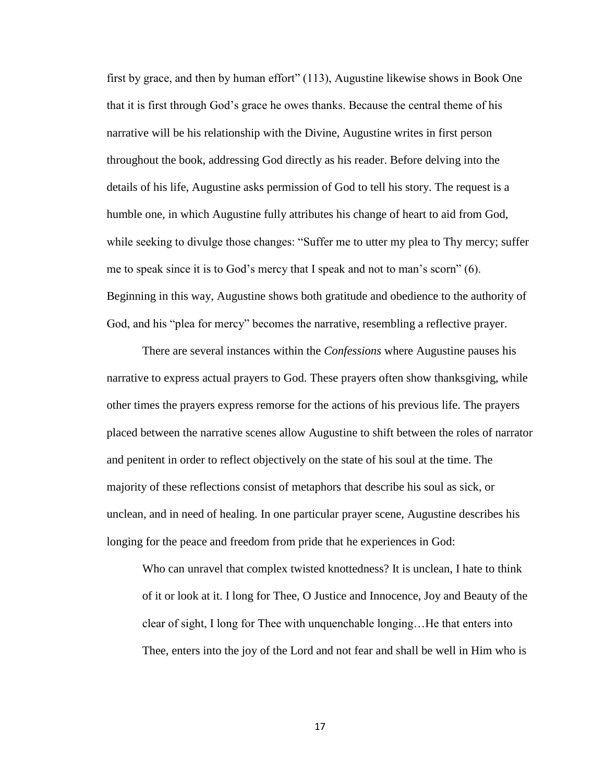first by grace, and then by human effort" (113), Augustine likewise shows in Book One that it is first through God's grace he owes thanks. Because the central theme of his narrative will be his relationship with the Divine, Augustine writes in first person throughout the book, addressing God directly as his reader. Before delving into the details of his life, Augustine asks permission of God to tell his story. The request is a humble one, in which Augustine fully attributes his change of heart to aid from God, while seeking to divulge those changes: "Suffer me to utter my plea to Thy mercy; suffer me to speak since it is to God's mercy that I speak and not to man's scorn" (6). Beginning in this way, Augustine shows both gratitude and obedience to the authority of God, and his "plea for mercy" becomes the narrative, resembling a reflective prayer.

There are several instances within the *Confessions* where Augustine pauses his narrative to express actual prayers to God. These prayers often show thanksgiving, while other times the prayers express remorse for the actions of his previous life. The prayers placed between the narrative scenes allow Augustine to shift between the roles of narrator and penitent in order to reflect objectively on the state of his soul at the time. The majority of these reflections consist of metaphors that describe his soul as sick, or unclean, and in need of healing. In one particular prayer scene, Augustine describes his longing for the peace and freedom from pride that he experiences in God:

Who can unravel that complex twisted knottedness? It is unclean, I hate to think of it or look at it. I long for Thee, O Justice and Innocence, Joy and Beauty of the clear of sight, I long for Thee with unquenchable longing…He that enters into Thee, enters into the joy of the Lord and not fear and shall be well in Him who is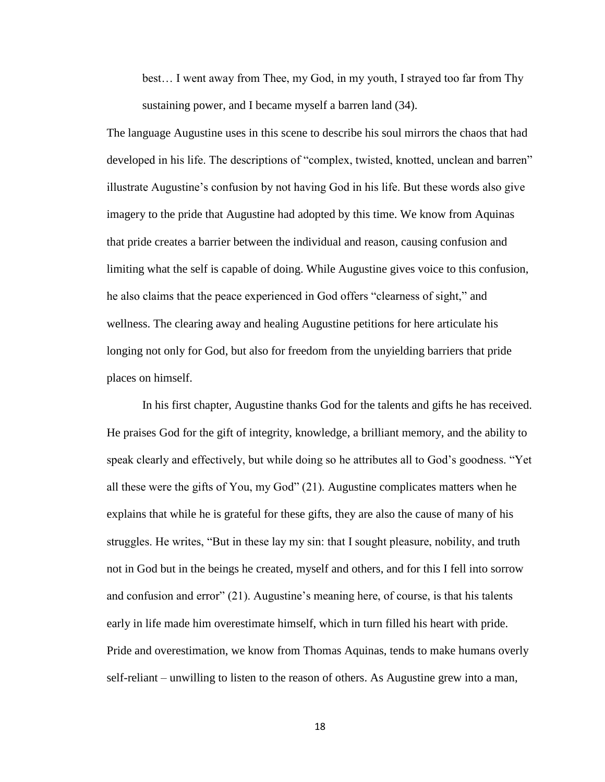best… I went away from Thee, my God, in my youth, I strayed too far from Thy sustaining power, and I became myself a barren land (34).

The language Augustine uses in this scene to describe his soul mirrors the chaos that had developed in his life. The descriptions of "complex, twisted, knotted, unclean and barren" illustrate Augustine's confusion by not having God in his life. But these words also give imagery to the pride that Augustine had adopted by this time. We know from Aquinas that pride creates a barrier between the individual and reason, causing confusion and limiting what the self is capable of doing. While Augustine gives voice to this confusion, he also claims that the peace experienced in God offers "clearness of sight," and wellness. The clearing away and healing Augustine petitions for here articulate his longing not only for God, but also for freedom from the unyielding barriers that pride places on himself.

In his first chapter, Augustine thanks God for the talents and gifts he has received. He praises God for the gift of integrity, knowledge, a brilliant memory, and the ability to speak clearly and effectively, but while doing so he attributes all to God's goodness. "Yet all these were the gifts of You, my God" (21). Augustine complicates matters when he explains that while he is grateful for these gifts, they are also the cause of many of his struggles. He writes, "But in these lay my sin: that I sought pleasure, nobility, and truth not in God but in the beings he created, myself and others, and for this I fell into sorrow and confusion and error" (21). Augustine's meaning here, of course, is that his talents early in life made him overestimate himself, which in turn filled his heart with pride. Pride and overestimation, we know from Thomas Aquinas, tends to make humans overly self-reliant – unwilling to listen to the reason of others. As Augustine grew into a man,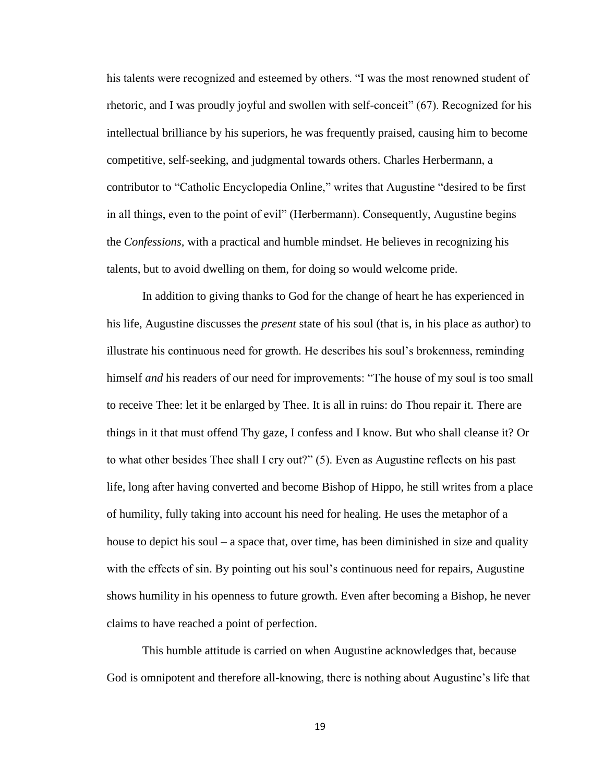his talents were recognized and esteemed by others. "I was the most renowned student of rhetoric, and I was proudly joyful and swollen with self-conceit" (67). Recognized for his intellectual brilliance by his superiors, he was frequently praised, causing him to become competitive, self-seeking, and judgmental towards others. Charles Herbermann, a contributor to "Catholic Encyclopedia Online," writes that Augustine "desired to be first in all things, even to the point of evil" (Herbermann). Consequently, Augustine begins the *Confessions,* with a practical and humble mindset. He believes in recognizing his talents, but to avoid dwelling on them, for doing so would welcome pride.

In addition to giving thanks to God for the change of heart he has experienced in his life, Augustine discusses the *present* state of his soul (that is, in his place as author) to illustrate his continuous need for growth. He describes his soul's brokenness, reminding himself *and* his readers of our need for improvements: "The house of my soul is too small to receive Thee: let it be enlarged by Thee. It is all in ruins: do Thou repair it. There are things in it that must offend Thy gaze, I confess and I know. But who shall cleanse it? Or to what other besides Thee shall I cry out?" (5). Even as Augustine reflects on his past life, long after having converted and become Bishop of Hippo, he still writes from a place of humility, fully taking into account his need for healing. He uses the metaphor of a house to depict his soul – a space that, over time, has been diminished in size and quality with the effects of sin. By pointing out his soul's continuous need for repairs, Augustine shows humility in his openness to future growth. Even after becoming a Bishop, he never claims to have reached a point of perfection.

This humble attitude is carried on when Augustine acknowledges that, because God is omnipotent and therefore all-knowing, there is nothing about Augustine's life that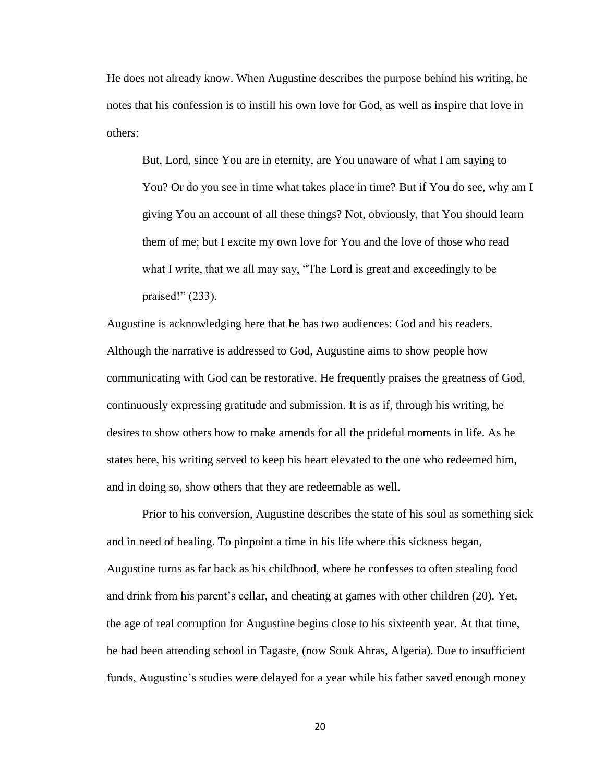He does not already know. When Augustine describes the purpose behind his writing, he notes that his confession is to instill his own love for God, as well as inspire that love in others:

But, Lord, since You are in eternity, are You unaware of what I am saying to You? Or do you see in time what takes place in time? But if You do see, why am I giving You an account of all these things? Not, obviously, that You should learn them of me; but I excite my own love for You and the love of those who read what I write, that we all may say, "The Lord is great and exceedingly to be praised!" (233).

Augustine is acknowledging here that he has two audiences: God and his readers. Although the narrative is addressed to God, Augustine aims to show people how communicating with God can be restorative. He frequently praises the greatness of God, continuously expressing gratitude and submission. It is as if, through his writing, he desires to show others how to make amends for all the prideful moments in life. As he states here, his writing served to keep his heart elevated to the one who redeemed him, and in doing so, show others that they are redeemable as well.

Prior to his conversion, Augustine describes the state of his soul as something sick and in need of healing. To pinpoint a time in his life where this sickness began, Augustine turns as far back as his childhood, where he confesses to often stealing food and drink from his parent's cellar, and cheating at games with other children (20). Yet, the age of real corruption for Augustine begins close to his sixteenth year. At that time, he had been attending school in Tagaste, (now Souk Ahras, Algeria). Due to insufficient funds, Augustine's studies were delayed for a year while his father saved enough money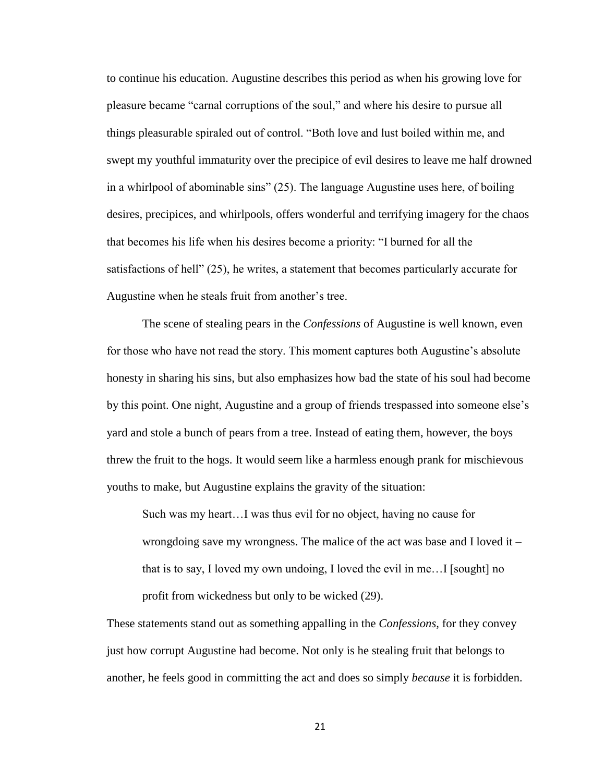to continue his education. Augustine describes this period as when his growing love for pleasure became "carnal corruptions of the soul," and where his desire to pursue all things pleasurable spiraled out of control. "Both love and lust boiled within me, and swept my youthful immaturity over the precipice of evil desires to leave me half drowned in a whirlpool of abominable sins" (25). The language Augustine uses here, of boiling desires, precipices, and whirlpools, offers wonderful and terrifying imagery for the chaos that becomes his life when his desires become a priority: "I burned for all the satisfactions of hell" (25), he writes, a statement that becomes particularly accurate for Augustine when he steals fruit from another's tree.

The scene of stealing pears in the *Confessions* of Augustine is well known, even for those who have not read the story. This moment captures both Augustine's absolute honesty in sharing his sins, but also emphasizes how bad the state of his soul had become by this point. One night, Augustine and a group of friends trespassed into someone else's yard and stole a bunch of pears from a tree. Instead of eating them, however, the boys threw the fruit to the hogs. It would seem like a harmless enough prank for mischievous youths to make, but Augustine explains the gravity of the situation:

Such was my heart…I was thus evil for no object, having no cause for wrongdoing save my wrongness. The malice of the act was base and I loved it  $$ that is to say, I loved my own undoing, I loved the evil in me…I [sought] no profit from wickedness but only to be wicked (29).

These statements stand out as something appalling in the *Confessions,* for they convey just how corrupt Augustine had become. Not only is he stealing fruit that belongs to another, he feels good in committing the act and does so simply *because* it is forbidden.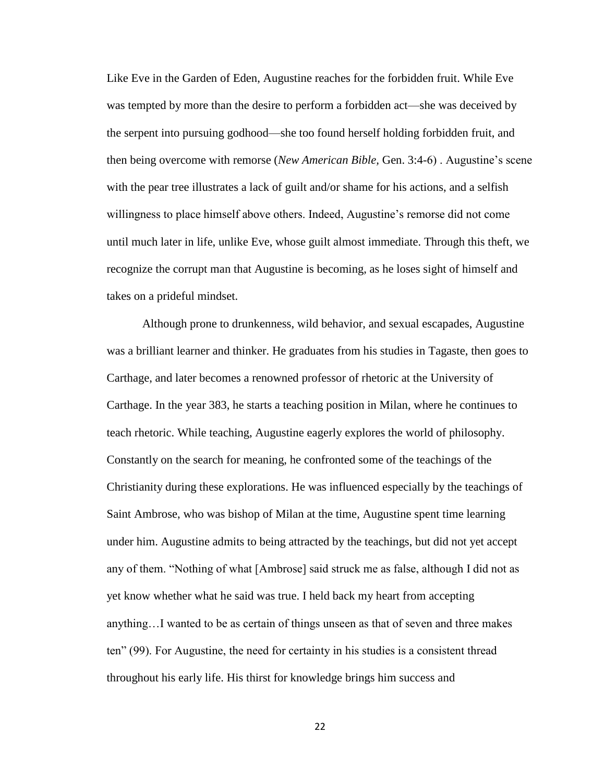Like Eve in the Garden of Eden, Augustine reaches for the forbidden fruit. While Eve was tempted by more than the desire to perform a forbidden act—she was deceived by the serpent into pursuing godhood—she too found herself holding forbidden fruit, and then being overcome with remorse (*New American Bible,* Gen. 3:4-6) . Augustine's scene with the pear tree illustrates a lack of guilt and/or shame for his actions, and a selfish willingness to place himself above others. Indeed, Augustine's remorse did not come until much later in life, unlike Eve, whose guilt almost immediate. Through this theft, we recognize the corrupt man that Augustine is becoming, as he loses sight of himself and takes on a prideful mindset.

Although prone to drunkenness, wild behavior, and sexual escapades, Augustine was a brilliant learner and thinker. He graduates from his studies in Tagaste, then goes to Carthage, and later becomes a renowned professor of rhetoric at the University of Carthage. In the year 383, he starts a teaching position in Milan, where he continues to teach rhetoric. While teaching, Augustine eagerly explores the world of philosophy. Constantly on the search for meaning, he confronted some of the teachings of the Christianity during these explorations. He was influenced especially by the teachings of Saint Ambrose, who was bishop of Milan at the time, Augustine spent time learning under him. Augustine admits to being attracted by the teachings, but did not yet accept any of them. "Nothing of what [Ambrose] said struck me as false, although I did not as yet know whether what he said was true. I held back my heart from accepting anything…I wanted to be as certain of things unseen as that of seven and three makes ten" (99). For Augustine, the need for certainty in his studies is a consistent thread throughout his early life. His thirst for knowledge brings him success and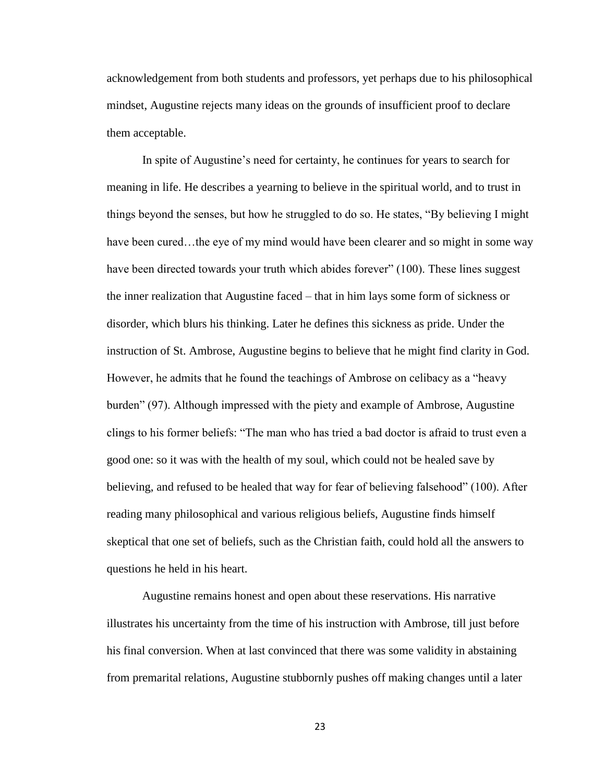acknowledgement from both students and professors, yet perhaps due to his philosophical mindset, Augustine rejects many ideas on the grounds of insufficient proof to declare them acceptable.

In spite of Augustine's need for certainty, he continues for years to search for meaning in life. He describes a yearning to believe in the spiritual world, and to trust in things beyond the senses, but how he struggled to do so. He states, "By believing I might have been cured…the eye of my mind would have been clearer and so might in some way have been directed towards your truth which abides forever" (100). These lines suggest the inner realization that Augustine faced – that in him lays some form of sickness or disorder, which blurs his thinking. Later he defines this sickness as pride. Under the instruction of St. Ambrose, Augustine begins to believe that he might find clarity in God. However, he admits that he found the teachings of Ambrose on celibacy as a "heavy burden" (97). Although impressed with the piety and example of Ambrose, Augustine clings to his former beliefs: "The man who has tried a bad doctor is afraid to trust even a good one: so it was with the health of my soul, which could not be healed save by believing, and refused to be healed that way for fear of believing falsehood" (100). After reading many philosophical and various religious beliefs, Augustine finds himself skeptical that one set of beliefs, such as the Christian faith, could hold all the answers to questions he held in his heart.

Augustine remains honest and open about these reservations. His narrative illustrates his uncertainty from the time of his instruction with Ambrose, till just before his final conversion. When at last convinced that there was some validity in abstaining from premarital relations, Augustine stubbornly pushes off making changes until a later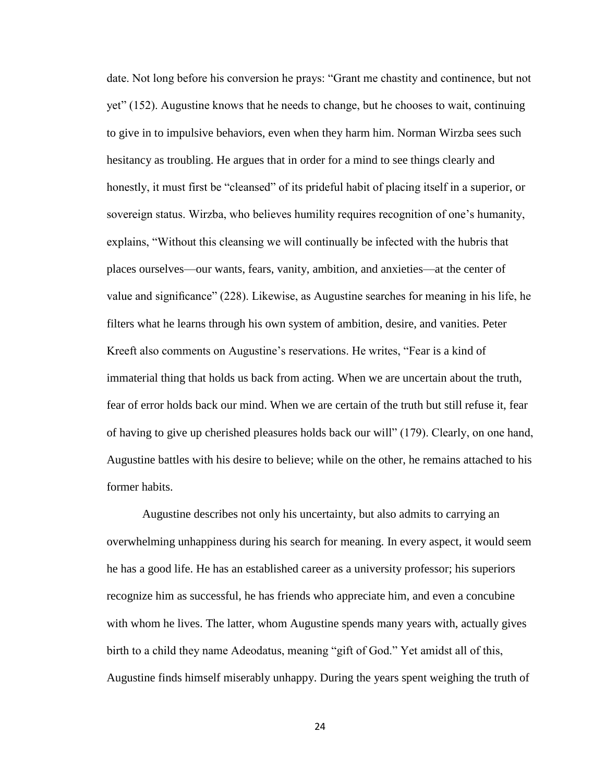date. Not long before his conversion he prays: "Grant me chastity and continence, but not yet" (152). Augustine knows that he needs to change, but he chooses to wait, continuing to give in to impulsive behaviors, even when they harm him. Norman Wirzba sees such hesitancy as troubling. He argues that in order for a mind to see things clearly and honestly, it must first be "cleansed" of its prideful habit of placing itself in a superior, or sovereign status. Wirzba, who believes humility requires recognition of one's humanity, explains, "Without this cleansing we will continually be infected with the hubris that places ourselves—our wants, fears, vanity, ambition, and anxieties—at the center of value and significance" (228). Likewise, as Augustine searches for meaning in his life, he filters what he learns through his own system of ambition, desire, and vanities. Peter Kreeft also comments on Augustine's reservations. He writes, "Fear is a kind of immaterial thing that holds us back from acting. When we are uncertain about the truth, fear of error holds back our mind. When we are certain of the truth but still refuse it, fear of having to give up cherished pleasures holds back our will" (179). Clearly, on one hand, Augustine battles with his desire to believe; while on the other, he remains attached to his former habits.

Augustine describes not only his uncertainty, but also admits to carrying an overwhelming unhappiness during his search for meaning. In every aspect, it would seem he has a good life. He has an established career as a university professor; his superiors recognize him as successful, he has friends who appreciate him, and even a concubine with whom he lives. The latter, whom Augustine spends many years with, actually gives birth to a child they name Adeodatus, meaning "gift of God." Yet amidst all of this, Augustine finds himself miserably unhappy. During the years spent weighing the truth of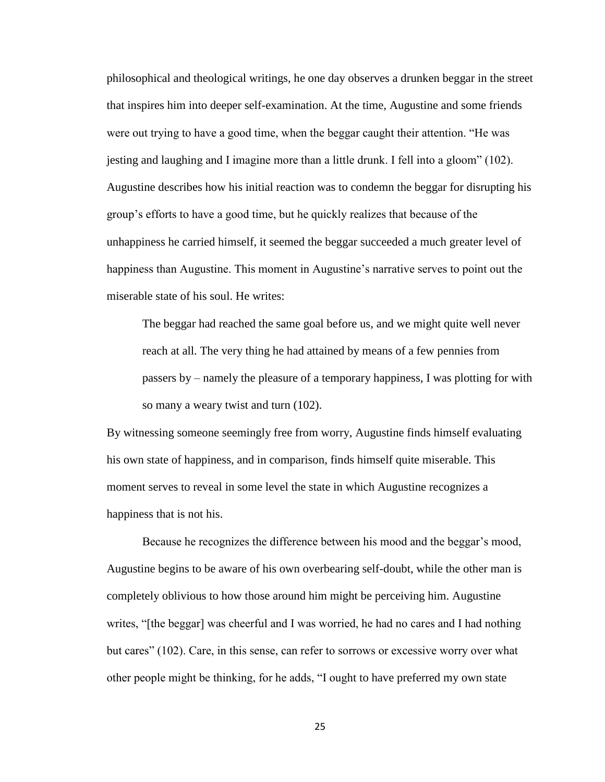philosophical and theological writings, he one day observes a drunken beggar in the street that inspires him into deeper self-examination. At the time, Augustine and some friends were out trying to have a good time, when the beggar caught their attention. "He was jesting and laughing and I imagine more than a little drunk. I fell into a gloom" (102). Augustine describes how his initial reaction was to condemn the beggar for disrupting his group's efforts to have a good time, but he quickly realizes that because of the unhappiness he carried himself, it seemed the beggar succeeded a much greater level of happiness than Augustine. This moment in Augustine's narrative serves to point out the miserable state of his soul. He writes:

The beggar had reached the same goal before us, and we might quite well never reach at all. The very thing he had attained by means of a few pennies from passers by – namely the pleasure of a temporary happiness, I was plotting for with so many a weary twist and turn (102).

By witnessing someone seemingly free from worry, Augustine finds himself evaluating his own state of happiness, and in comparison, finds himself quite miserable. This moment serves to reveal in some level the state in which Augustine recognizes a happiness that is not his.

Because he recognizes the difference between his mood and the beggar's mood, Augustine begins to be aware of his own overbearing self-doubt, while the other man is completely oblivious to how those around him might be perceiving him. Augustine writes, "[the beggar] was cheerful and I was worried, he had no cares and I had nothing but cares" (102). Care, in this sense, can refer to sorrows or excessive worry over what other people might be thinking, for he adds, "I ought to have preferred my own state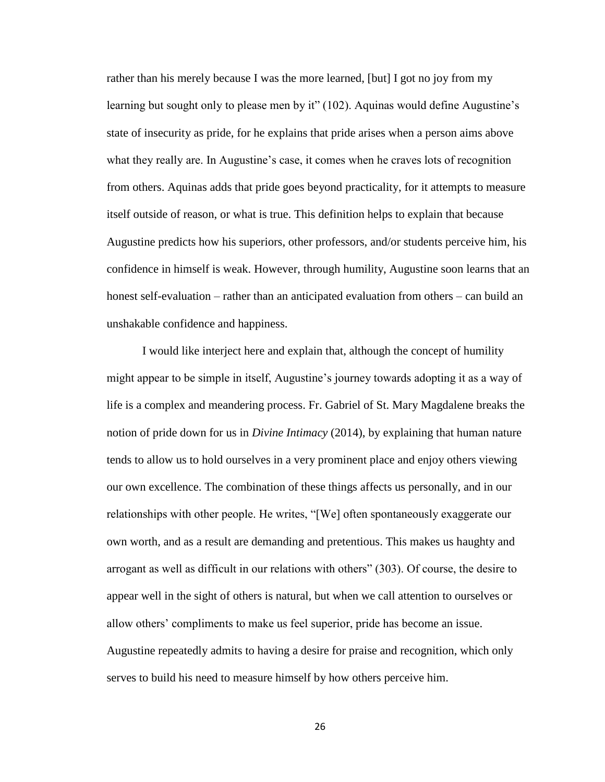rather than his merely because I was the more learned, [but] I got no joy from my learning but sought only to please men by it" (102). Aquinas would define Augustine's state of insecurity as pride, for he explains that pride arises when a person aims above what they really are. In Augustine's case, it comes when he craves lots of recognition from others. Aquinas adds that pride goes beyond practicality, for it attempts to measure itself outside of reason, or what is true. This definition helps to explain that because Augustine predicts how his superiors, other professors, and/or students perceive him, his confidence in himself is weak. However, through humility, Augustine soon learns that an honest self-evaluation – rather than an anticipated evaluation from others – can build an unshakable confidence and happiness.

I would like interject here and explain that, although the concept of humility might appear to be simple in itself, Augustine's journey towards adopting it as a way of life is a complex and meandering process. Fr. Gabriel of St. Mary Magdalene breaks the notion of pride down for us in *Divine Intimacy* (2014), by explaining that human nature tends to allow us to hold ourselves in a very prominent place and enjoy others viewing our own excellence. The combination of these things affects us personally, and in our relationships with other people. He writes, "[We] often spontaneously exaggerate our own worth, and as a result are demanding and pretentious. This makes us haughty and arrogant as well as difficult in our relations with others" (303). Of course, the desire to appear well in the sight of others is natural, but when we call attention to ourselves or allow others' compliments to make us feel superior, pride has become an issue. Augustine repeatedly admits to having a desire for praise and recognition, which only serves to build his need to measure himself by how others perceive him.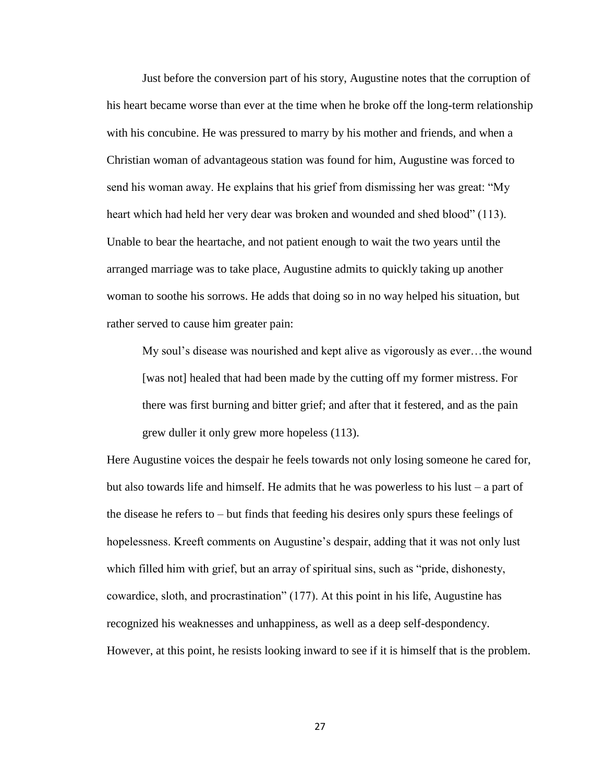Just before the conversion part of his story, Augustine notes that the corruption of his heart became worse than ever at the time when he broke off the long-term relationship with his concubine. He was pressured to marry by his mother and friends, and when a Christian woman of advantageous station was found for him, Augustine was forced to send his woman away. He explains that his grief from dismissing her was great: "My heart which had held her very dear was broken and wounded and shed blood" (113). Unable to bear the heartache, and not patient enough to wait the two years until the arranged marriage was to take place, Augustine admits to quickly taking up another woman to soothe his sorrows. He adds that doing so in no way helped his situation, but rather served to cause him greater pain:

My soul's disease was nourished and kept alive as vigorously as ever…the wound [was not] healed that had been made by the cutting off my former mistress. For there was first burning and bitter grief; and after that it festered, and as the pain grew duller it only grew more hopeless (113).

Here Augustine voices the despair he feels towards not only losing someone he cared for, but also towards life and himself. He admits that he was powerless to his lust – a part of the disease he refers to – but finds that feeding his desires only spurs these feelings of hopelessness. Kreeft comments on Augustine's despair, adding that it was not only lust which filled him with grief, but an array of spiritual sins, such as "pride, dishonesty, cowardice, sloth, and procrastination" (177). At this point in his life, Augustine has recognized his weaknesses and unhappiness, as well as a deep self-despondency. However, at this point, he resists looking inward to see if it is himself that is the problem.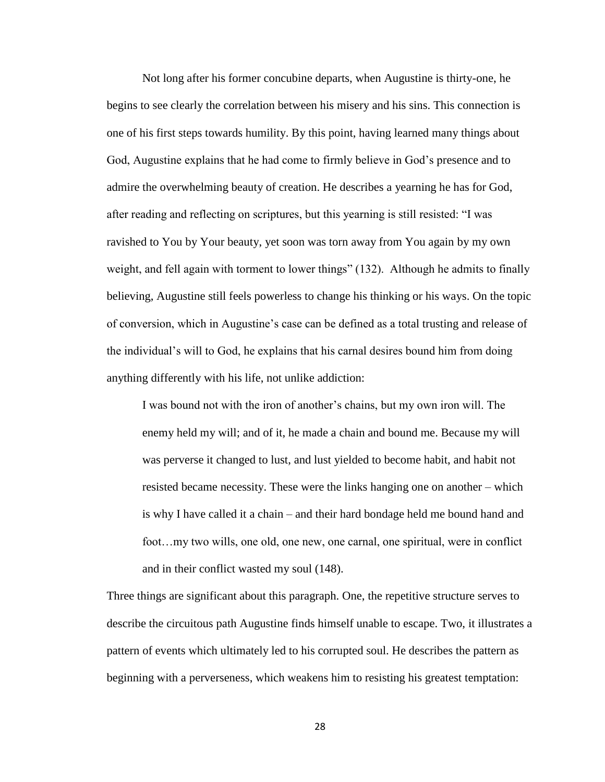Not long after his former concubine departs, when Augustine is thirty-one, he begins to see clearly the correlation between his misery and his sins. This connection is one of his first steps towards humility. By this point, having learned many things about God, Augustine explains that he had come to firmly believe in God's presence and to admire the overwhelming beauty of creation. He describes a yearning he has for God, after reading and reflecting on scriptures, but this yearning is still resisted: "I was ravished to You by Your beauty, yet soon was torn away from You again by my own weight, and fell again with torment to lower things" (132). Although he admits to finally believing, Augustine still feels powerless to change his thinking or his ways. On the topic of conversion, which in Augustine's case can be defined as a total trusting and release of the individual's will to God, he explains that his carnal desires bound him from doing anything differently with his life, not unlike addiction:

I was bound not with the iron of another's chains, but my own iron will. The enemy held my will; and of it, he made a chain and bound me. Because my will was perverse it changed to lust, and lust yielded to become habit, and habit not resisted became necessity. These were the links hanging one on another – which is why I have called it a chain – and their hard bondage held me bound hand and foot…my two wills, one old, one new, one carnal, one spiritual, were in conflict and in their conflict wasted my soul (148).

Three things are significant about this paragraph. One, the repetitive structure serves to describe the circuitous path Augustine finds himself unable to escape. Two, it illustrates a pattern of events which ultimately led to his corrupted soul. He describes the pattern as beginning with a perverseness, which weakens him to resisting his greatest temptation: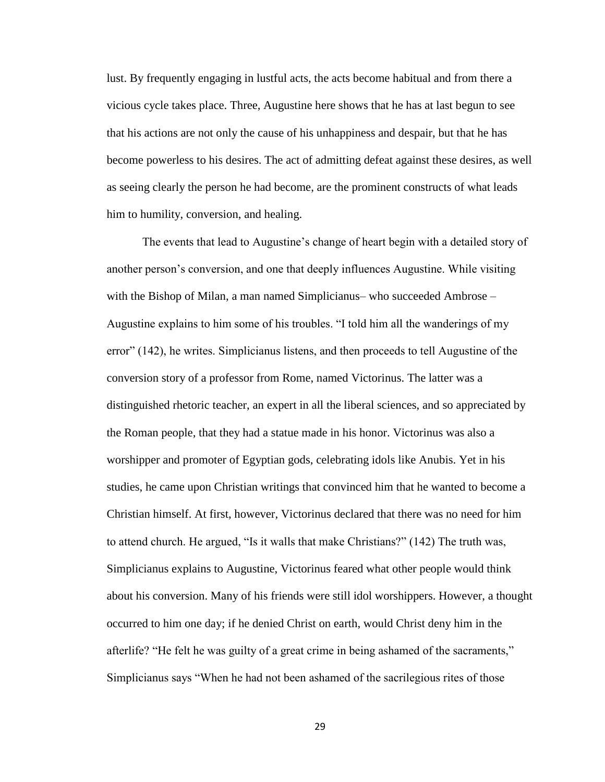lust. By frequently engaging in lustful acts, the acts become habitual and from there a vicious cycle takes place. Three, Augustine here shows that he has at last begun to see that his actions are not only the cause of his unhappiness and despair, but that he has become powerless to his desires. The act of admitting defeat against these desires, as well as seeing clearly the person he had become, are the prominent constructs of what leads him to humility, conversion, and healing.

The events that lead to Augustine's change of heart begin with a detailed story of another person's conversion, and one that deeply influences Augustine. While visiting with the Bishop of Milan, a man named Simplicianus– who succeeded Ambrose – Augustine explains to him some of his troubles. "I told him all the wanderings of my error" (142), he writes. Simplicianus listens, and then proceeds to tell Augustine of the conversion story of a professor from Rome, named Victorinus. The latter was a distinguished rhetoric teacher, an expert in all the liberal sciences, and so appreciated by the Roman people, that they had a statue made in his honor. Victorinus was also a worshipper and promoter of Egyptian gods, celebrating idols like Anubis. Yet in his studies, he came upon Christian writings that convinced him that he wanted to become a Christian himself. At first, however, Victorinus declared that there was no need for him to attend church. He argued, "Is it walls that make Christians?" (142) The truth was, Simplicianus explains to Augustine, Victorinus feared what other people would think about his conversion. Many of his friends were still idol worshippers. However, a thought occurred to him one day; if he denied Christ on earth, would Christ deny him in the afterlife? "He felt he was guilty of a great crime in being ashamed of the sacraments," Simplicianus says "When he had not been ashamed of the sacrilegious rites of those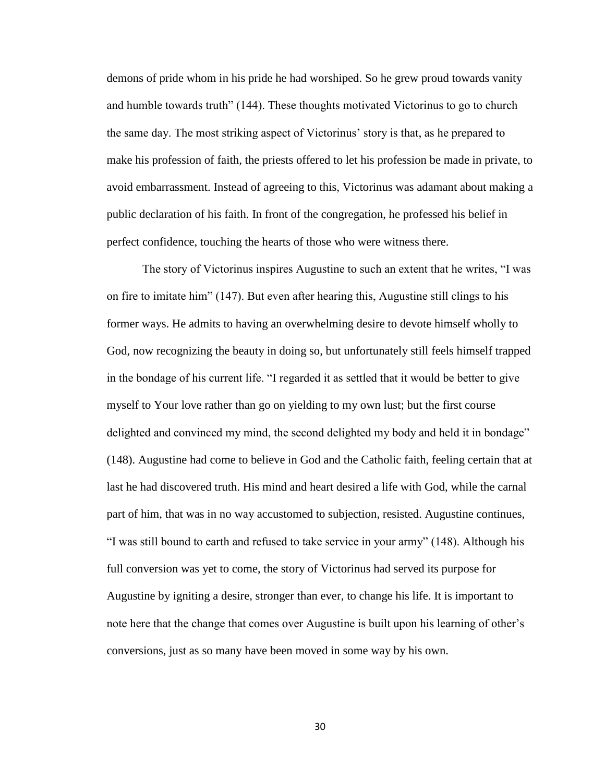demons of pride whom in his pride he had worshiped. So he grew proud towards vanity and humble towards truth" (144). These thoughts motivated Victorinus to go to church the same day. The most striking aspect of Victorinus' story is that, as he prepared to make his profession of faith, the priests offered to let his profession be made in private, to avoid embarrassment. Instead of agreeing to this, Victorinus was adamant about making a public declaration of his faith. In front of the congregation, he professed his belief in perfect confidence, touching the hearts of those who were witness there.

The story of Victorinus inspires Augustine to such an extent that he writes, "I was on fire to imitate him" (147). But even after hearing this, Augustine still clings to his former ways. He admits to having an overwhelming desire to devote himself wholly to God, now recognizing the beauty in doing so, but unfortunately still feels himself trapped in the bondage of his current life. "I regarded it as settled that it would be better to give myself to Your love rather than go on yielding to my own lust; but the first course delighted and convinced my mind, the second delighted my body and held it in bondage" (148). Augustine had come to believe in God and the Catholic faith, feeling certain that at last he had discovered truth. His mind and heart desired a life with God, while the carnal part of him, that was in no way accustomed to subjection, resisted. Augustine continues, "I was still bound to earth and refused to take service in your army" (148). Although his full conversion was yet to come, the story of Victorinus had served its purpose for Augustine by igniting a desire, stronger than ever, to change his life. It is important to note here that the change that comes over Augustine is built upon his learning of other's conversions, just as so many have been moved in some way by his own.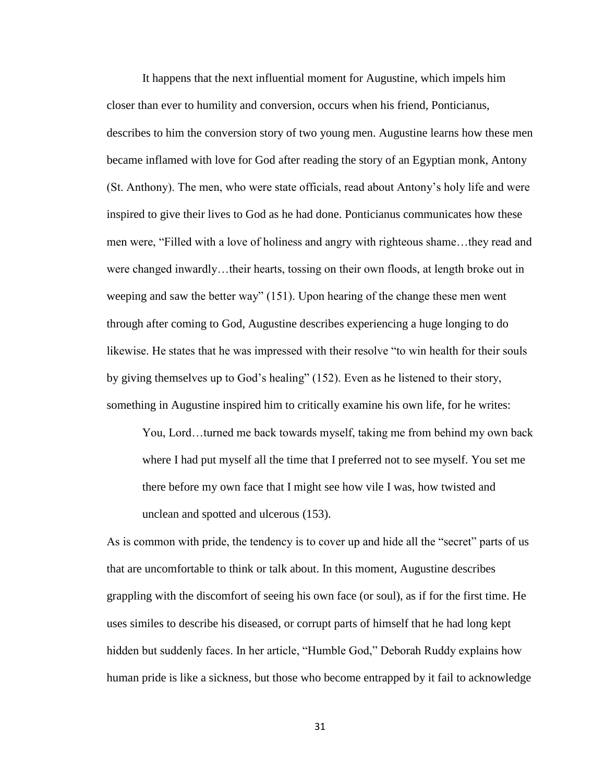It happens that the next influential moment for Augustine, which impels him closer than ever to humility and conversion, occurs when his friend, Ponticianus, describes to him the conversion story of two young men. Augustine learns how these men became inflamed with love for God after reading the story of an Egyptian monk, Antony (St. Anthony). The men, who were state officials, read about Antony's holy life and were inspired to give their lives to God as he had done. Ponticianus communicates how these men were, "Filled with a love of holiness and angry with righteous shame…they read and were changed inwardly…their hearts, tossing on their own floods, at length broke out in weeping and saw the better way" (151). Upon hearing of the change these men went through after coming to God, Augustine describes experiencing a huge longing to do likewise. He states that he was impressed with their resolve "to win health for their souls by giving themselves up to God's healing" (152). Even as he listened to their story, something in Augustine inspired him to critically examine his own life, for he writes:

You, Lord…turned me back towards myself, taking me from behind my own back where I had put myself all the time that I preferred not to see myself. You set me there before my own face that I might see how vile I was, how twisted and unclean and spotted and ulcerous (153).

As is common with pride, the tendency is to cover up and hide all the "secret" parts of us that are uncomfortable to think or talk about. In this moment, Augustine describes grappling with the discomfort of seeing his own face (or soul), as if for the first time. He uses similes to describe his diseased, or corrupt parts of himself that he had long kept hidden but suddenly faces. In her article, "Humble God," Deborah Ruddy explains how human pride is like a sickness, but those who become entrapped by it fail to acknowledge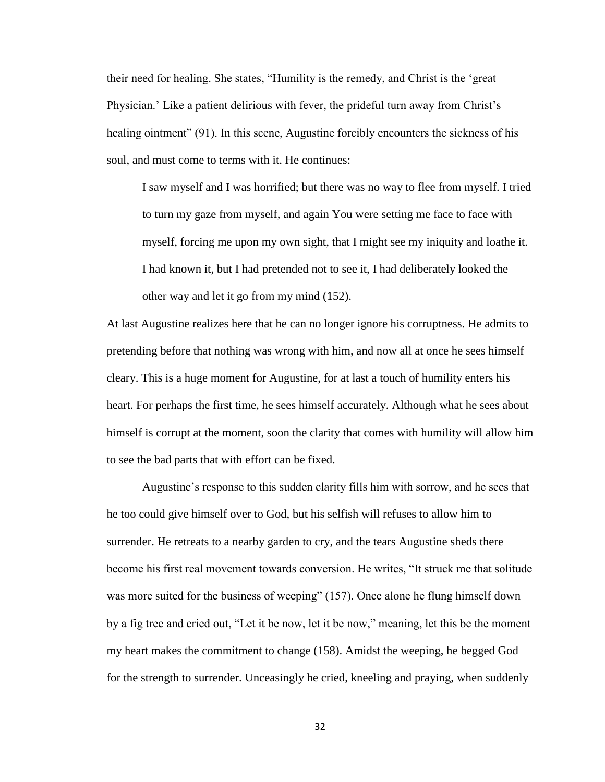their need for healing. She states, "Humility is the remedy, and Christ is the 'great Physician.' Like a patient delirious with fever, the prideful turn away from Christ's healing ointment" (91). In this scene, Augustine forcibly encounters the sickness of his soul, and must come to terms with it. He continues:

I saw myself and I was horrified; but there was no way to flee from myself. I tried to turn my gaze from myself, and again You were setting me face to face with myself, forcing me upon my own sight, that I might see my iniquity and loathe it. I had known it, but I had pretended not to see it, I had deliberately looked the other way and let it go from my mind (152).

At last Augustine realizes here that he can no longer ignore his corruptness. He admits to pretending before that nothing was wrong with him, and now all at once he sees himself cleary. This is a huge moment for Augustine, for at last a touch of humility enters his heart. For perhaps the first time, he sees himself accurately. Although what he sees about himself is corrupt at the moment, soon the clarity that comes with humility will allow him to see the bad parts that with effort can be fixed.

Augustine's response to this sudden clarity fills him with sorrow, and he sees that he too could give himself over to God, but his selfish will refuses to allow him to surrender. He retreats to a nearby garden to cry, and the tears Augustine sheds there become his first real movement towards conversion. He writes, "It struck me that solitude was more suited for the business of weeping" (157). Once alone he flung himself down by a fig tree and cried out, "Let it be now, let it be now," meaning, let this be the moment my heart makes the commitment to change (158). Amidst the weeping, he begged God for the strength to surrender. Unceasingly he cried, kneeling and praying, when suddenly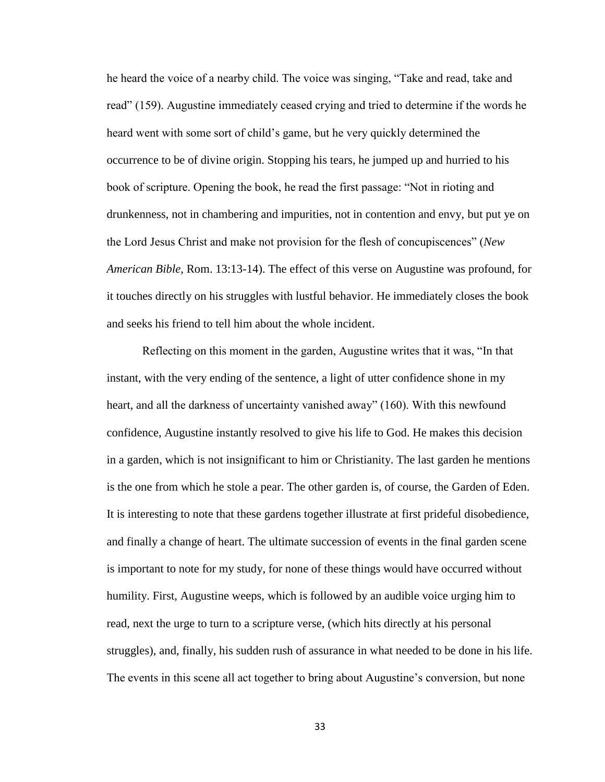he heard the voice of a nearby child. The voice was singing, "Take and read, take and read" (159). Augustine immediately ceased crying and tried to determine if the words he heard went with some sort of child's game, but he very quickly determined the occurrence to be of divine origin. Stopping his tears, he jumped up and hurried to his book of scripture. Opening the book, he read the first passage: "Not in rioting and drunkenness, not in chambering and impurities, not in contention and envy, but put ye on the Lord Jesus Christ and make not provision for the flesh of concupiscences" (*New American Bible,* Rom. 13:13-14). The effect of this verse on Augustine was profound, for it touches directly on his struggles with lustful behavior. He immediately closes the book and seeks his friend to tell him about the whole incident.

Reflecting on this moment in the garden, Augustine writes that it was, "In that instant, with the very ending of the sentence, a light of utter confidence shone in my heart, and all the darkness of uncertainty vanished away" (160). With this newfound confidence, Augustine instantly resolved to give his life to God. He makes this decision in a garden, which is not insignificant to him or Christianity. The last garden he mentions is the one from which he stole a pear. The other garden is, of course, the Garden of Eden. It is interesting to note that these gardens together illustrate at first prideful disobedience, and finally a change of heart. The ultimate succession of events in the final garden scene is important to note for my study, for none of these things would have occurred without humility. First, Augustine weeps, which is followed by an audible voice urging him to read, next the urge to turn to a scripture verse, (which hits directly at his personal struggles), and, finally, his sudden rush of assurance in what needed to be done in his life. The events in this scene all act together to bring about Augustine's conversion, but none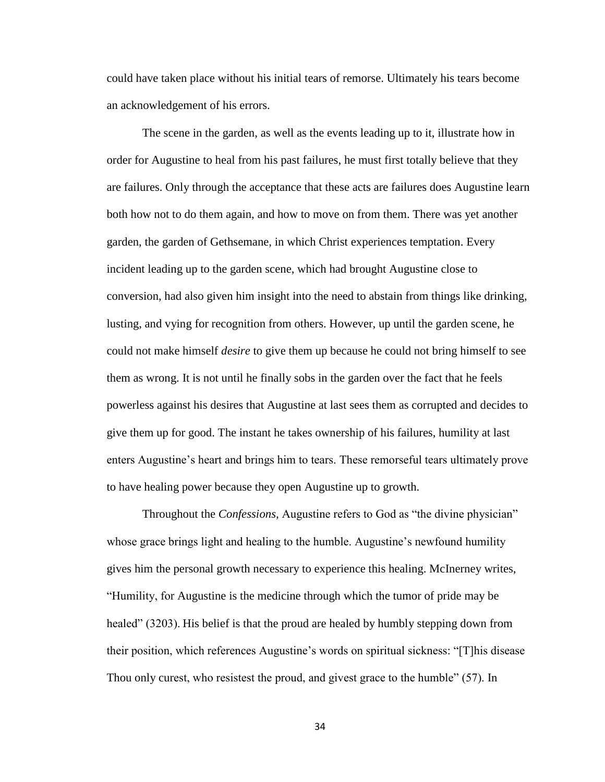could have taken place without his initial tears of remorse. Ultimately his tears become an acknowledgement of his errors.

The scene in the garden, as well as the events leading up to it, illustrate how in order for Augustine to heal from his past failures, he must first totally believe that they are failures. Only through the acceptance that these acts are failures does Augustine learn both how not to do them again, and how to move on from them. There was yet another garden, the garden of Gethsemane, in which Christ experiences temptation. Every incident leading up to the garden scene, which had brought Augustine close to conversion, had also given him insight into the need to abstain from things like drinking, lusting, and vying for recognition from others. However, up until the garden scene, he could not make himself *desire* to give them up because he could not bring himself to see them as wrong. It is not until he finally sobs in the garden over the fact that he feels powerless against his desires that Augustine at last sees them as corrupted and decides to give them up for good. The instant he takes ownership of his failures, humility at last enters Augustine's heart and brings him to tears. These remorseful tears ultimately prove to have healing power because they open Augustine up to growth.

Throughout the *Confessions,* Augustine refers to God as "the divine physician" whose grace brings light and healing to the humble. Augustine's newfound humility gives him the personal growth necessary to experience this healing. McInerney writes, "Humility, for Augustine is the medicine through which the tumor of pride may be healed" (3203). His belief is that the proud are healed by humbly stepping down from their position, which references Augustine's words on spiritual sickness: "[T]his disease Thou only curest, who resistest the proud, and givest grace to the humble" (57). In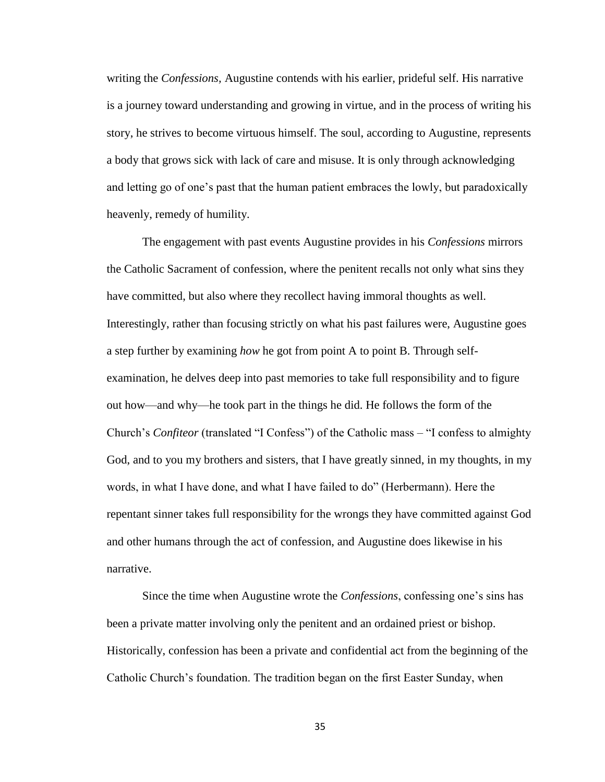writing the *Confessions,* Augustine contends with his earlier, prideful self. His narrative is a journey toward understanding and growing in virtue, and in the process of writing his story, he strives to become virtuous himself. The soul, according to Augustine, represents a body that grows sick with lack of care and misuse. It is only through acknowledging and letting go of one's past that the human patient embraces the lowly, but paradoxically heavenly, remedy of humility.

The engagement with past events Augustine provides in his *Confessions* mirrors the Catholic Sacrament of confession, where the penitent recalls not only what sins they have committed, but also where they recollect having immoral thoughts as well. Interestingly, rather than focusing strictly on what his past failures were, Augustine goes a step further by examining *how* he got from point A to point B. Through selfexamination, he delves deep into past memories to take full responsibility and to figure out how—and why—he took part in the things he did. He follows the form of the Church's *Confiteor* (translated "I Confess") of the Catholic mass – "I confess to almighty God, and to you my brothers and sisters, that I have greatly sinned, in my thoughts, in my words, in what I have done, and what I have failed to do" (Herbermann). Here the repentant sinner takes full responsibility for the wrongs they have committed against God and other humans through the act of confession, and Augustine does likewise in his narrative.

Since the time when Augustine wrote the *Confessions*, confessing one's sins has been a private matter involving only the penitent and an ordained priest or bishop. Historically, confession has been a private and confidential act from the beginning of the Catholic Church's foundation. The tradition began on the first Easter Sunday, when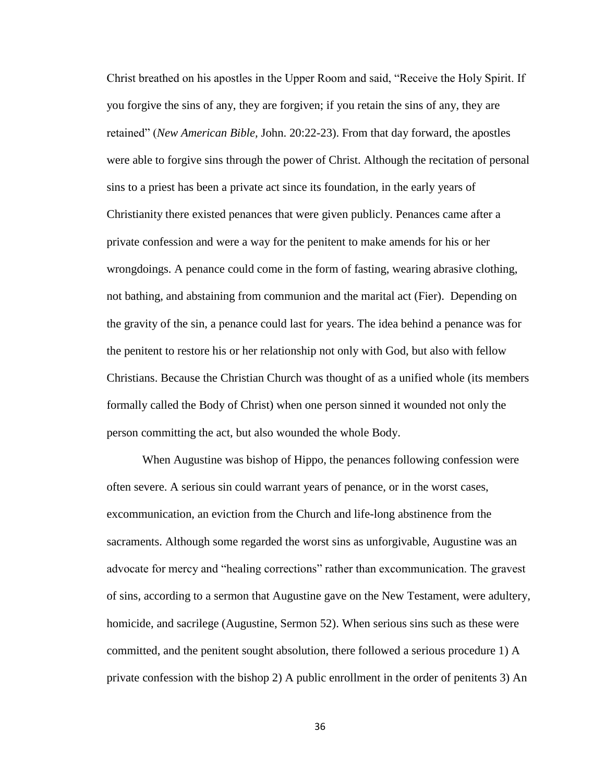Christ breathed on his apostles in the Upper Room and said, "Receive the Holy Spirit. If you forgive the sins of any, they are forgiven; if you retain the sins of any, they are retained" (*New American Bible,* John. 20:22-23). From that day forward, the apostles were able to forgive sins through the power of Christ. Although the recitation of personal sins to a priest has been a private act since its foundation, in the early years of Christianity there existed penances that were given publicly. Penances came after a private confession and were a way for the penitent to make amends for his or her wrongdoings. A penance could come in the form of fasting, wearing abrasive clothing, not bathing, and abstaining from communion and the marital act (Fier). Depending on the gravity of the sin, a penance could last for years. The idea behind a penance was for the penitent to restore his or her relationship not only with God, but also with fellow Christians. Because the Christian Church was thought of as a unified whole (its members formally called the Body of Christ) when one person sinned it wounded not only the person committing the act, but also wounded the whole Body.

When Augustine was bishop of Hippo, the penances following confession were often severe. A serious sin could warrant years of penance, or in the worst cases, excommunication, an eviction from the Church and life-long abstinence from the sacraments. Although some regarded the worst sins as unforgivable, Augustine was an advocate for mercy and "healing corrections" rather than excommunication. The gravest of sins, according to a sermon that Augustine gave on the New Testament, were adultery, homicide, and sacrilege (Augustine, Sermon 52). When serious sins such as these were committed, and the penitent sought absolution, there followed a serious procedure 1) A private confession with the bishop 2) A public enrollment in the order of penitents 3) An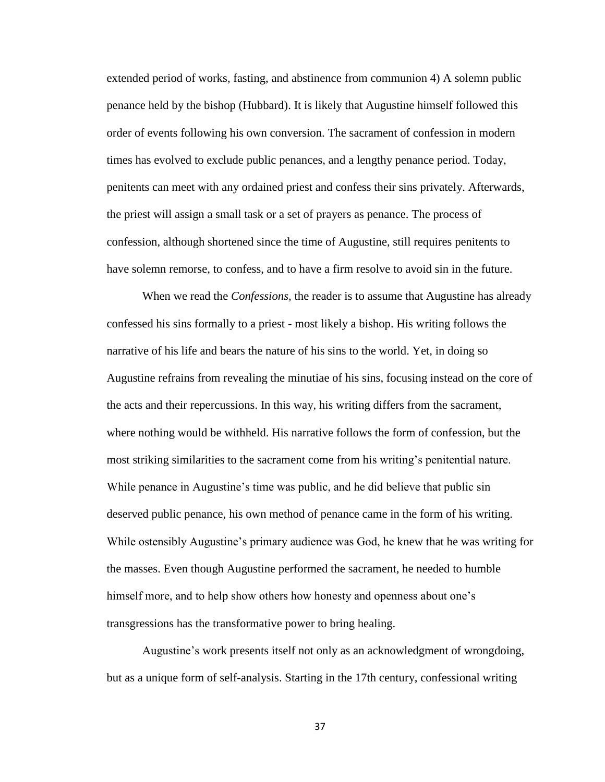extended period of works, fasting, and abstinence from communion 4) A solemn public penance held by the bishop (Hubbard). It is likely that Augustine himself followed this order of events following his own conversion. The sacrament of confession in modern times has evolved to exclude public penances, and a lengthy penance period. Today, penitents can meet with any ordained priest and confess their sins privately. Afterwards, the priest will assign a small task or a set of prayers as penance. The process of confession, although shortened since the time of Augustine, still requires penitents to have solemn remorse, to confess, and to have a firm resolve to avoid sin in the future.

When we read the *Confessions,* the reader is to assume that Augustine has already confessed his sins formally to a priest - most likely a bishop. His writing follows the narrative of his life and bears the nature of his sins to the world. Yet, in doing so Augustine refrains from revealing the minutiae of his sins, focusing instead on the core of the acts and their repercussions. In this way, his writing differs from the sacrament, where nothing would be withheld. His narrative follows the form of confession, but the most striking similarities to the sacrament come from his writing's penitential nature. While penance in Augustine's time was public, and he did believe that public sin deserved public penance, his own method of penance came in the form of his writing. While ostensibly Augustine's primary audience was God, he knew that he was writing for the masses. Even though Augustine performed the sacrament, he needed to humble himself more, and to help show others how honesty and openness about one's transgressions has the transformative power to bring healing.

Augustine's work presents itself not only as an acknowledgment of wrongdoing, but as a unique form of self-analysis. Starting in the 17th century, confessional writing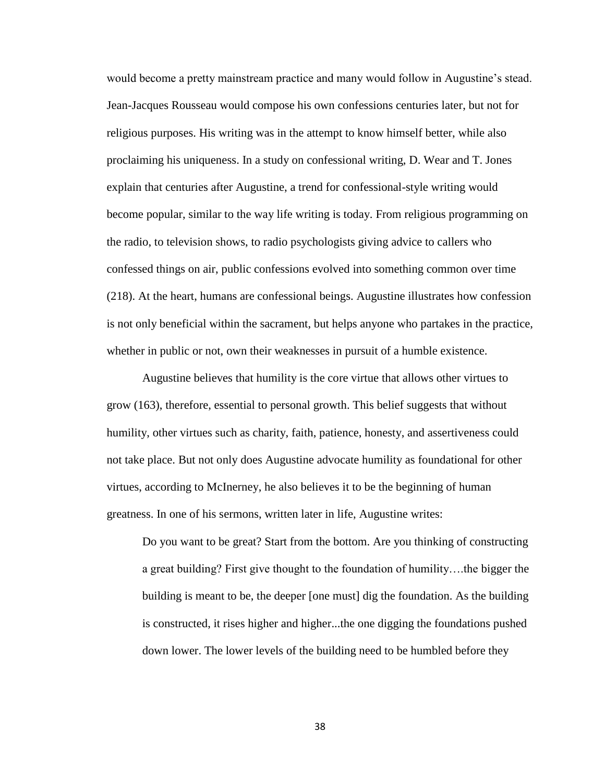would become a pretty mainstream practice and many would follow in Augustine's stead. Jean-Jacques Rousseau would compose his own confessions centuries later, but not for religious purposes. His writing was in the attempt to know himself better, while also proclaiming his uniqueness. In a study on confessional writing, D. Wear and T. Jones explain that centuries after Augustine, a trend for confessional-style writing would become popular, similar to the way life writing is today. From religious programming on the radio, to television shows, to radio psychologists giving advice to callers who confessed things on air, public confessions evolved into something common over time (218). At the heart, humans are confessional beings. Augustine illustrates how confession is not only beneficial within the sacrament, but helps anyone who partakes in the practice, whether in public or not, own their weaknesses in pursuit of a humble existence.

Augustine believes that humility is the core virtue that allows other virtues to grow (163), therefore, essential to personal growth. This belief suggests that without humility, other virtues such as charity, faith, patience, honesty, and assertiveness could not take place. But not only does Augustine advocate humility as foundational for other virtues, according to McInerney, he also believes it to be the beginning of human greatness. In one of his sermons, written later in life, Augustine writes:

Do you want to be great? Start from the bottom. Are you thinking of constructing a great building? First give thought to the foundation of humility….the bigger the building is meant to be, the deeper [one must] dig the foundation. As the building is constructed, it rises higher and higher...the one digging the foundations pushed down lower. The lower levels of the building need to be humbled before they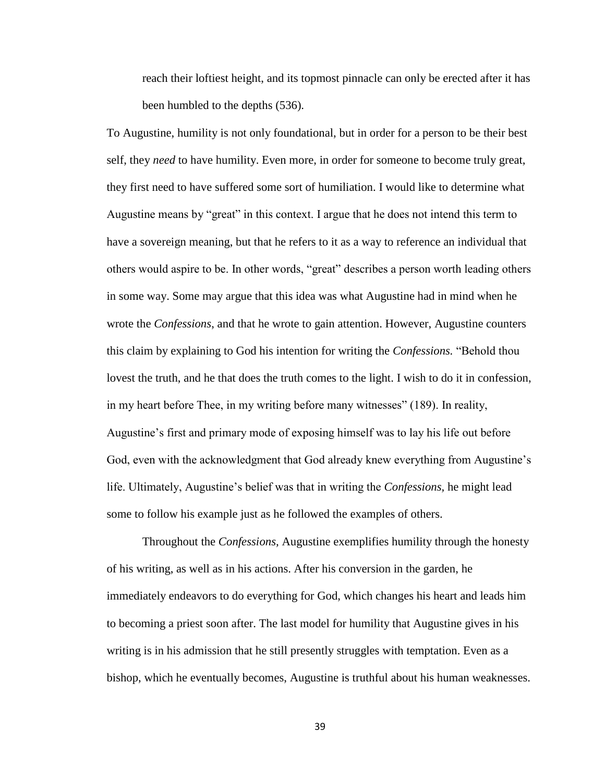reach their loftiest height, and its topmost pinnacle can only be erected after it has been humbled to the depths (536).

To Augustine, humility is not only foundational, but in order for a person to be their best self, they *need* to have humility. Even more, in order for someone to become truly great, they first need to have suffered some sort of humiliation. I would like to determine what Augustine means by "great" in this context. I argue that he does not intend this term to have a sovereign meaning, but that he refers to it as a way to reference an individual that others would aspire to be. In other words, "great" describes a person worth leading others in some way. Some may argue that this idea was what Augustine had in mind when he wrote the *Confessions*, and that he wrote to gain attention. However, Augustine counters this claim by explaining to God his intention for writing the *Confessions.* "Behold thou lovest the truth, and he that does the truth comes to the light. I wish to do it in confession, in my heart before Thee, in my writing before many witnesses" (189). In reality, Augustine's first and primary mode of exposing himself was to lay his life out before God, even with the acknowledgment that God already knew everything from Augustine's life. Ultimately, Augustine's belief was that in writing the *Confessions,* he might lead some to follow his example just as he followed the examples of others.

Throughout the *Confessions,* Augustine exemplifies humility through the honesty of his writing, as well as in his actions. After his conversion in the garden, he immediately endeavors to do everything for God, which changes his heart and leads him to becoming a priest soon after. The last model for humility that Augustine gives in his writing is in his admission that he still presently struggles with temptation. Even as a bishop, which he eventually becomes, Augustine is truthful about his human weaknesses.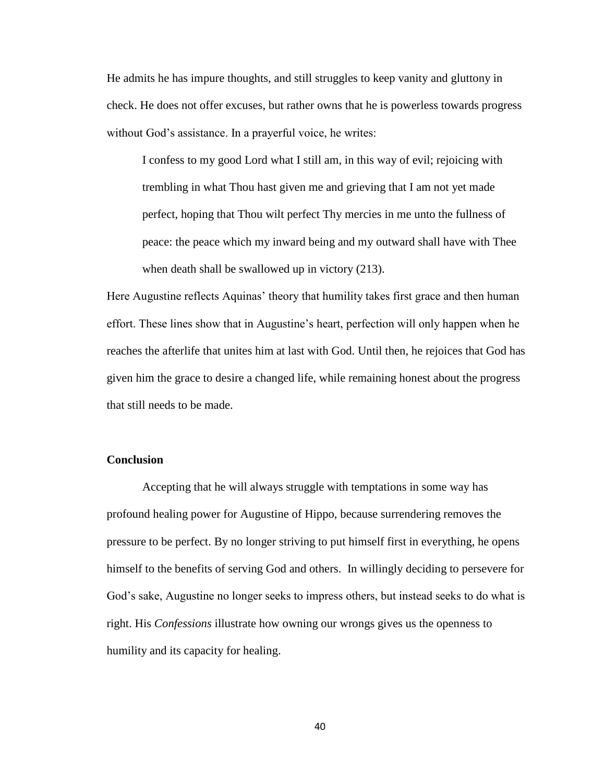He admits he has impure thoughts, and still struggles to keep vanity and gluttony in check. He does not offer excuses, but rather owns that he is powerless towards progress without God's assistance. In a prayerful voice, he writes:

I confess to my good Lord what I still am, in this way of evil; rejoicing with trembling in what Thou hast given me and grieving that I am not yet made perfect, hoping that Thou wilt perfect Thy mercies in me unto the fullness of peace: the peace which my inward being and my outward shall have with Thee when death shall be swallowed up in victory (213).

Here Augustine reflects Aquinas' theory that humility takes first grace and then human effort. These lines show that in Augustine's heart, perfection will only happen when he reaches the afterlife that unites him at last with God. Until then, he rejoices that God has given him the grace to desire a changed life, while remaining honest about the progress that still needs to be made.

## <span id="page-46-0"></span>**Conclusion**

Accepting that he will always struggle with temptations in some way has profound healing power for Augustine of Hippo, because surrendering removes the pressure to be perfect. By no longer striving to put himself first in everything, he opens himself to the benefits of serving God and others. In willingly deciding to persevere for God's sake, Augustine no longer seeks to impress others, but instead seeks to do what is right. His *Confessions* illustrate how owning our wrongs gives us the openness to humility and its capacity for healing.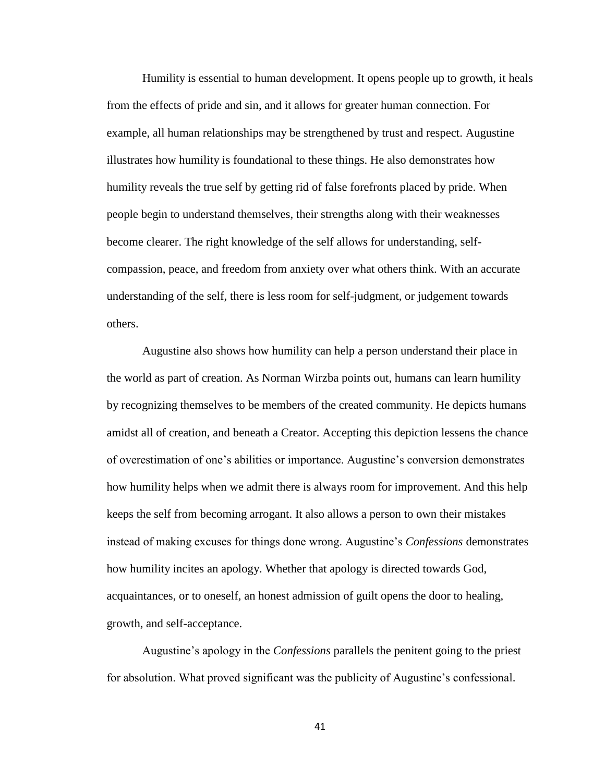Humility is essential to human development. It opens people up to growth, it heals from the effects of pride and sin, and it allows for greater human connection. For example, all human relationships may be strengthened by trust and respect. Augustine illustrates how humility is foundational to these things. He also demonstrates how humility reveals the true self by getting rid of false forefronts placed by pride. When people begin to understand themselves, their strengths along with their weaknesses become clearer. The right knowledge of the self allows for understanding, selfcompassion, peace, and freedom from anxiety over what others think. With an accurate understanding of the self, there is less room for self-judgment, or judgement towards others.

Augustine also shows how humility can help a person understand their place in the world as part of creation. As Norman Wirzba points out, humans can learn humility by recognizing themselves to be members of the created community. He depicts humans amidst all of creation, and beneath a Creator. Accepting this depiction lessens the chance of overestimation of one's abilities or importance. Augustine's conversion demonstrates how humility helps when we admit there is always room for improvement. And this help keeps the self from becoming arrogant. It also allows a person to own their mistakes instead of making excuses for things done wrong. Augustine's *Confessions* demonstrates how humility incites an apology. Whether that apology is directed towards God, acquaintances, or to oneself, an honest admission of guilt opens the door to healing, growth, and self-acceptance.

Augustine's apology in the *Confessions* parallels the penitent going to the priest for absolution. What proved significant was the publicity of Augustine's confessional.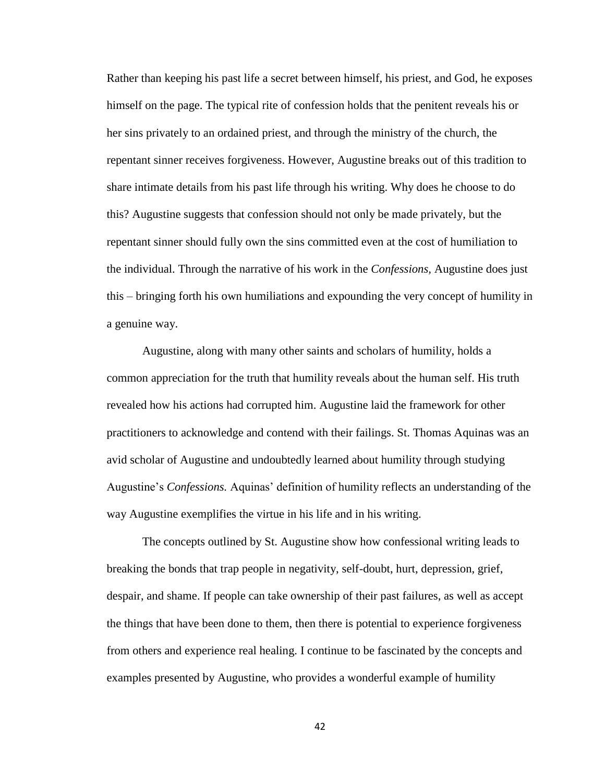Rather than keeping his past life a secret between himself, his priest, and God, he exposes himself on the page. The typical rite of confession holds that the penitent reveals his or her sins privately to an ordained priest, and through the ministry of the church, the repentant sinner receives forgiveness. However, Augustine breaks out of this tradition to share intimate details from his past life through his writing. Why does he choose to do this? Augustine suggests that confession should not only be made privately, but the repentant sinner should fully own the sins committed even at the cost of humiliation to the individual. Through the narrative of his work in the *Confessions,* Augustine does just this – bringing forth his own humiliations and expounding the very concept of humility in a genuine way.

Augustine, along with many other saints and scholars of humility, holds a common appreciation for the truth that humility reveals about the human self. His truth revealed how his actions had corrupted him. Augustine laid the framework for other practitioners to acknowledge and contend with their failings. St. Thomas Aquinas was an avid scholar of Augustine and undoubtedly learned about humility through studying Augustine's *Confessions.* Aquinas' definition of humility reflects an understanding of the way Augustine exemplifies the virtue in his life and in his writing.

The concepts outlined by St. Augustine show how confessional writing leads to breaking the bonds that trap people in negativity, self-doubt, hurt, depression, grief, despair, and shame. If people can take ownership of their past failures, as well as accept the things that have been done to them, then there is potential to experience forgiveness from others and experience real healing. I continue to be fascinated by the concepts and examples presented by Augustine, who provides a wonderful example of humility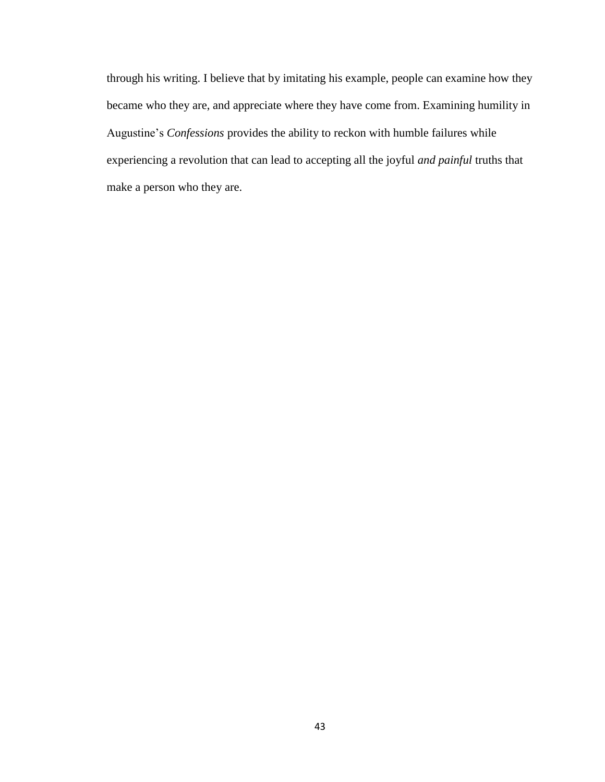through his writing. I believe that by imitating his example, people can examine how they became who they are, and appreciate where they have come from. Examining humility in Augustine's *Confessions* provides the ability to reckon with humble failures while experiencing a revolution that can lead to accepting all the joyful *and painful* truths that make a person who they are.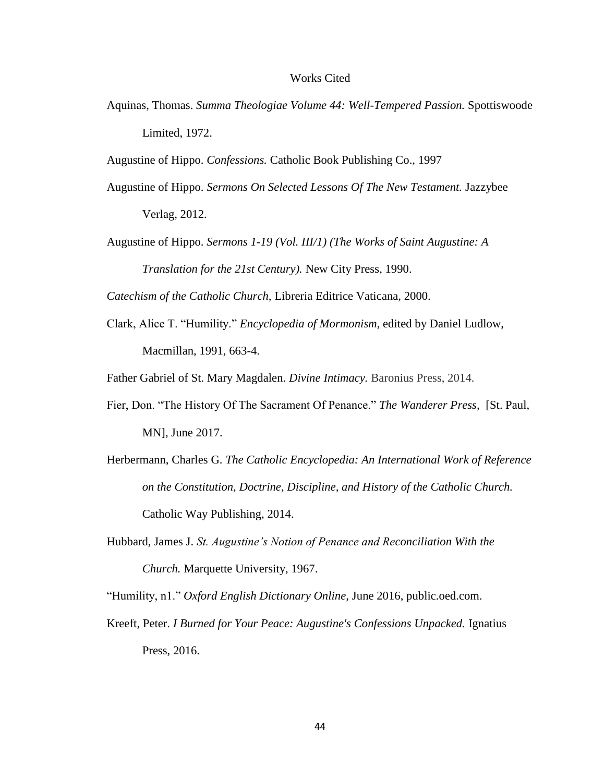#### Works Cited

<span id="page-50-0"></span>Aquinas, Thomas. *Summa Theologiae Volume 44: Well-Tempered Passion.* Spottiswoode Limited, 1972.

Augustine of Hippo. *Confessions.* Catholic Book Publishing Co., 1997

- Augustine of Hippo. *Sermons On Selected Lessons Of The New Testament.* Jazzybee Verlag, 2012.
- Augustine of Hippo. *Sermons 1-19 (Vol. III/1) (The Works of Saint Augustine: A Translation for the 21st Century).* New City Press, 1990.

*Catechism of the Catholic Church,* Libreria Editrice Vaticana, 2000.

Clark, Alice T. "Humility." *Encyclopedia of Mormonism,* edited by Daniel Ludlow, Macmillan, 1991, 663-4.

Father Gabriel of St. Mary Magdalen. *Divine Intimacy.* Baronius Press, 2014.

- Fier, Don. "The History Of The Sacrament Of Penance." *The Wanderer Press,* [St. Paul, MN], June 2017.
- Herbermann, Charles G. *The Catholic Encyclopedia: An International Work of Reference on the Constitution, Doctrine, Discipline, and History of the Catholic Church.*  Catholic Way Publishing, 2014.
- Hubbard, James J. *St. Augustine's Notion of Penance and Reconciliation With the Church.* Marquette University, 1967.

"Humility, n1." *Oxford English Dictionary Online,* June 2016, public.oed.com.

Kreeft, Peter. *I Burned for Your Peace: Augustine's Confessions Unpacked.* Ignatius Press, 2016.